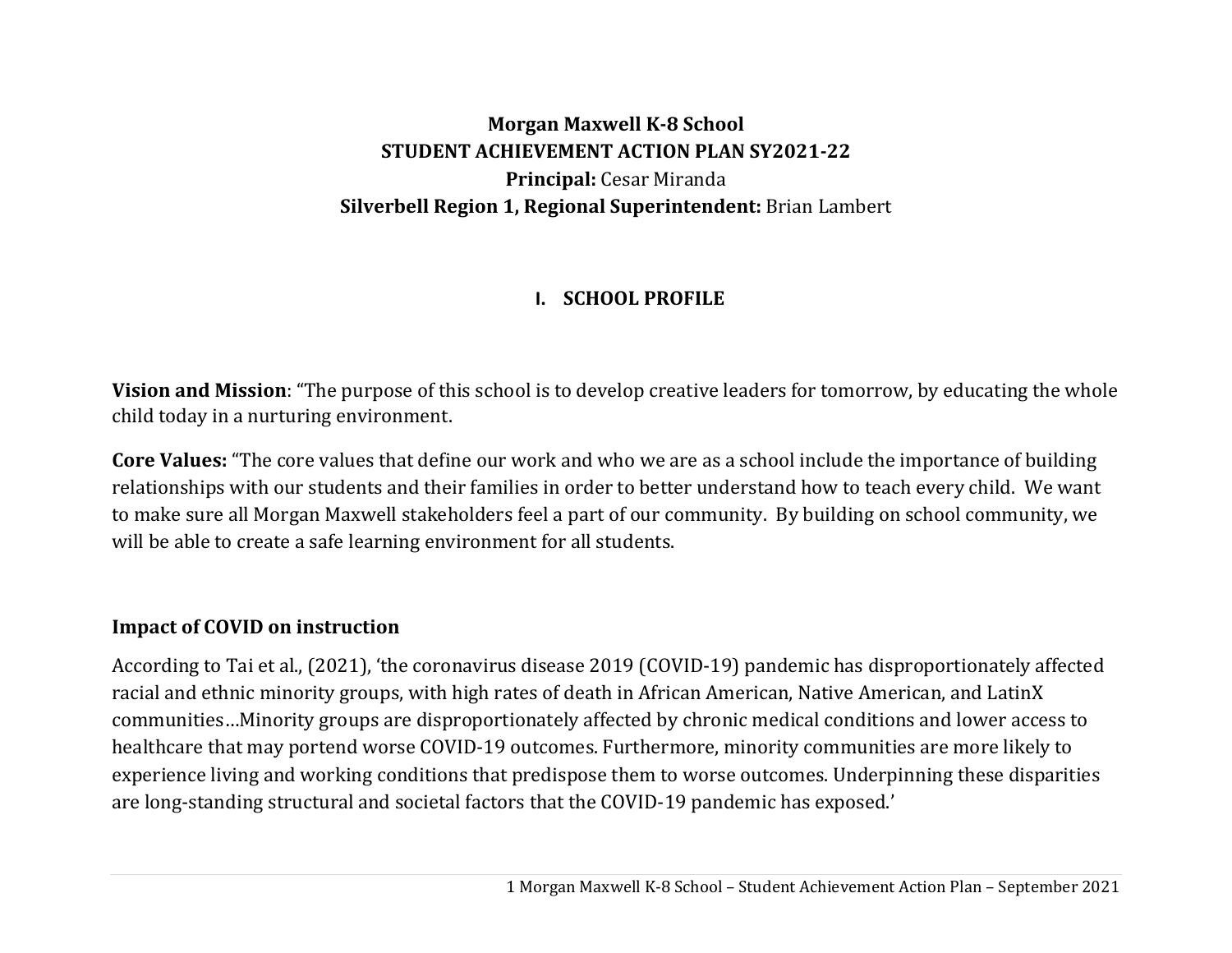# **Morgan Maxwell K‐8 School STUDENT ACHIEVEMENT ACTION PLAN SY2021‐22 Principal:** Cesar Miranda **Silverbell Region 1, Regional Superintendent:** Brian Lambert

# **I. SCHOOL PROFILE**

**Vision and Mission**: "The purpose of this school is to develop creative leaders for tomorrow, by educating the whole child today in a nurturing environment.

**Core Values:** "The core values that define our work and who we are as a school include the importance of building relationships with our students and their families in order to better understand how to teach every child. We want to make sure all Morgan Maxwell stakeholders feel a part of our community. By building on school community, we will be able to create a safe learning environment for all students.

### **Impact of COVID on instruction**

According to Tai et al., (2021), 'the coronavirus disease 2019 (COVID-19) pandemic has disproportionately affected racial and ethnic minority groups, with high rates of death in African American, Native American, and LatinX communities…Minority groups are disproportionately affected by chronic medical conditions and lower access to healthcare that may portend worse COVID-19 outcomes. Furthermore, minority communities are more likely to experience living and working conditions that predispose them to worse outcomes. Underpinning these disparities are long-standing structural and societal factors that the COVID-19 pandemic has exposed.'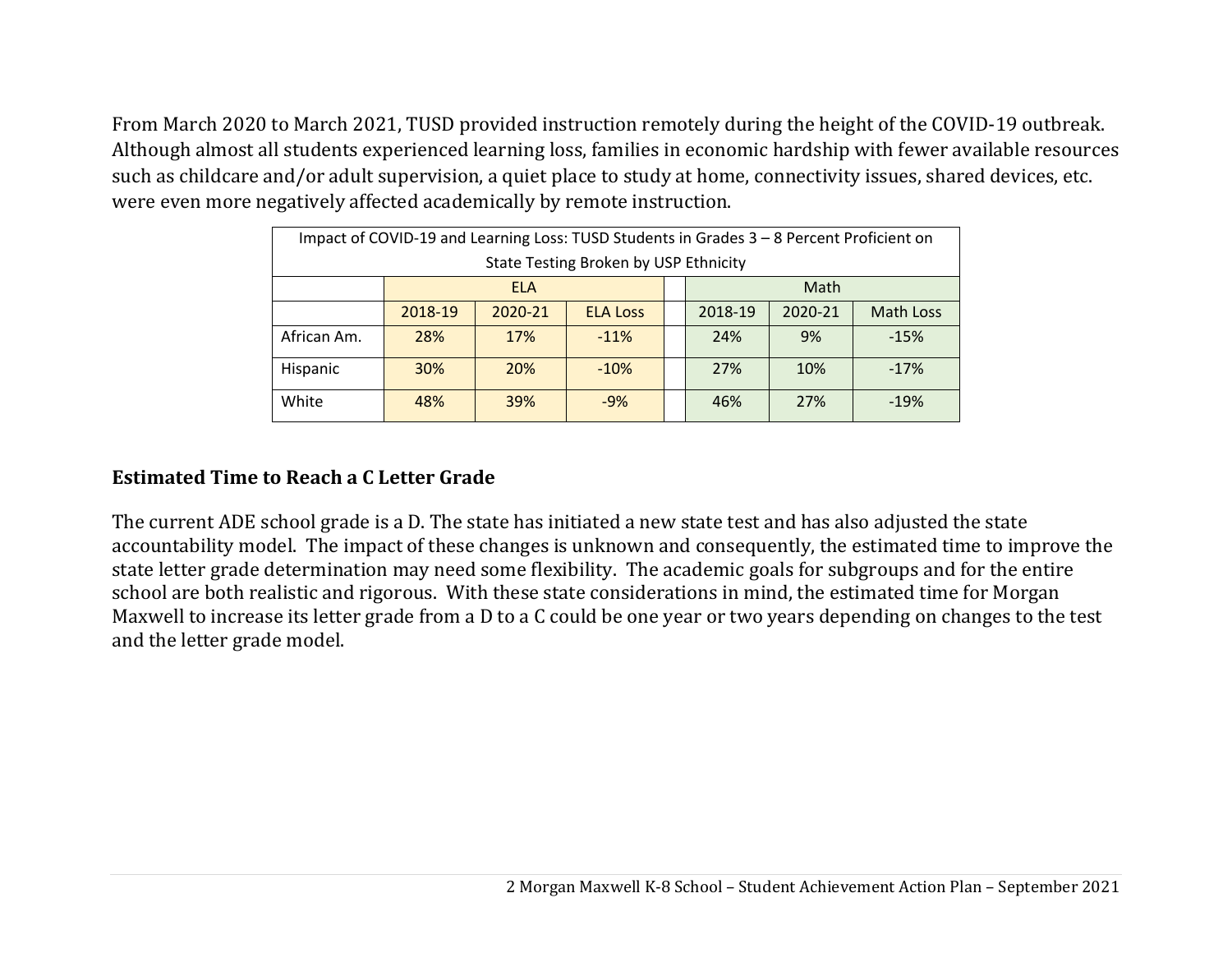From March 2020 to March 2021, TUSD provided instruction remotely during the height of the COVID-19 outbreak. Although almost all students experienced learning loss, families in economic hardship with fewer available resources such as childcare and/or adult supervision, a quiet place to study at home, connectivity issues, shared devices, etc. were even more negatively affected academically by remote instruction.

| Impact of COVID-19 and Learning Loss: TUSD Students in Grades 3 - 8 Percent Proficient on |            |         |                 |  |         |         |           |  |
|-------------------------------------------------------------------------------------------|------------|---------|-----------------|--|---------|---------|-----------|--|
| State Testing Broken by USP Ethnicity                                                     |            |         |                 |  |         |         |           |  |
|                                                                                           | <b>ELA</b> |         |                 |  | Math    |         |           |  |
|                                                                                           | 2018-19    | 2020-21 | <b>ELA Loss</b> |  | 2018-19 | 2020-21 | Math Loss |  |
| African Am.                                                                               | 28%        | 17%     | $-11%$          |  | 24%     | 9%      | $-15%$    |  |
| Hispanic                                                                                  | <b>30%</b> | 20%     | $-10%$          |  | 27%     | 10%     | $-17%$    |  |
| White                                                                                     | 48%        | 39%     | $-9%$           |  | 46%     | 27%     | $-19%$    |  |

### **Estimated Time to Reach aC Letter Grade**

The current ADE school grade is a D. The state has initiated a new state test and has also adjusted the state accountability model. The impact of these changes is unknown and consequently, the estimated time to improve the state letter grade determination may need some flexibility. The academic goals for subgroups and for the entire school are both realistic and rigorous. With these state considerations in mind, the estimated time for Morgan Maxwell to increase its letter grade from a D to a C could be one year or two years depending on changes to the test and the letter grade model.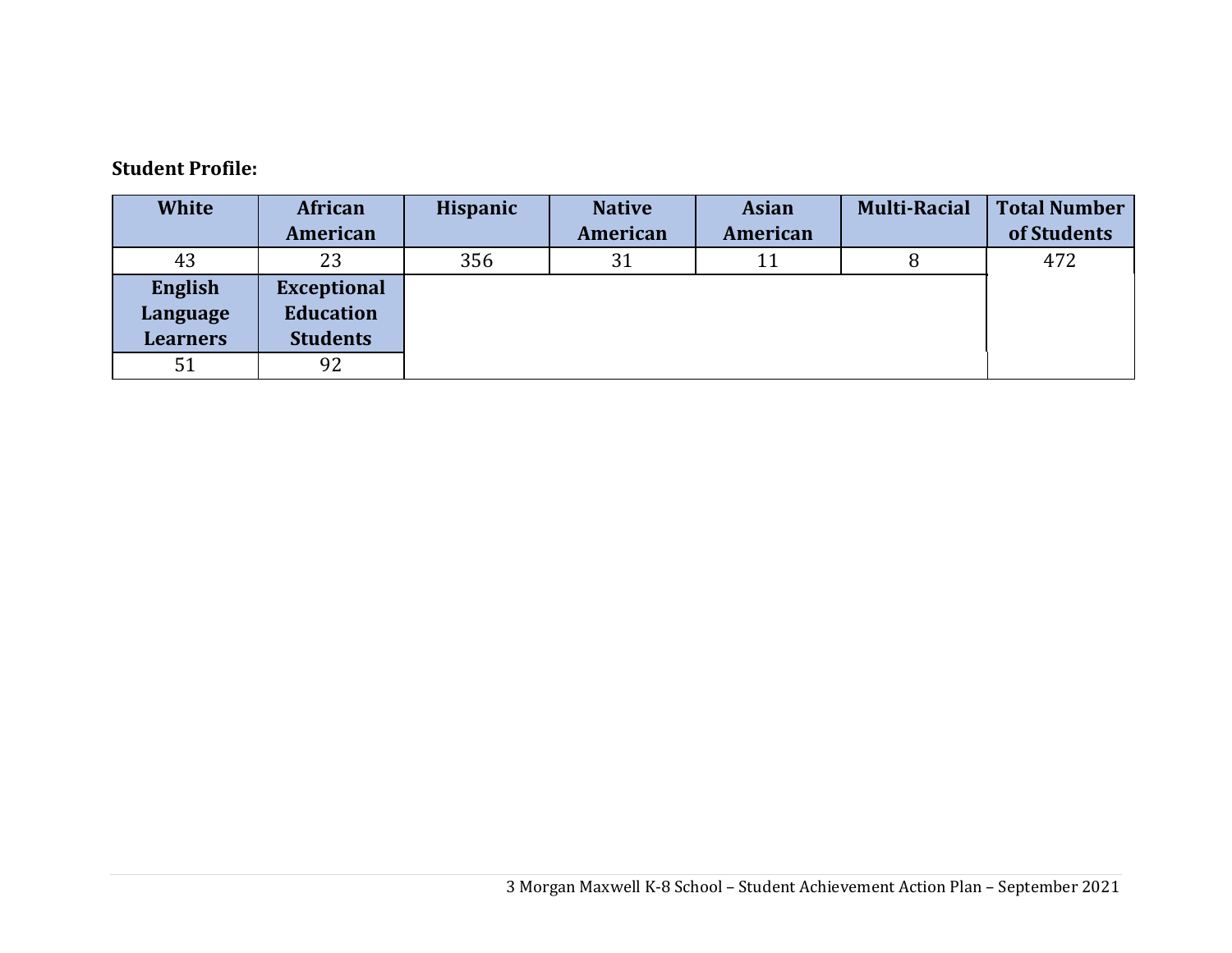#### **Student Profile:**

| <b>White</b>    | <b>African</b>     | <b>Hispanic</b> | <b>Native</b> | <b>Asian</b> | <b>Multi-Racial</b> | <b>Total Number</b> |
|-----------------|--------------------|-----------------|---------------|--------------|---------------------|---------------------|
|                 | American           |                 | American      | American     |                     | of Students         |
| 43              | 23                 | 356             | 31            | 11           |                     | 472                 |
| English         | <b>Exceptional</b> |                 |               |              |                     |                     |
| Language        | <b>Education</b>   |                 |               |              |                     |                     |
| <b>Learners</b> | <b>Students</b>    |                 |               |              |                     |                     |
| 51              | 92                 |                 |               |              |                     |                     |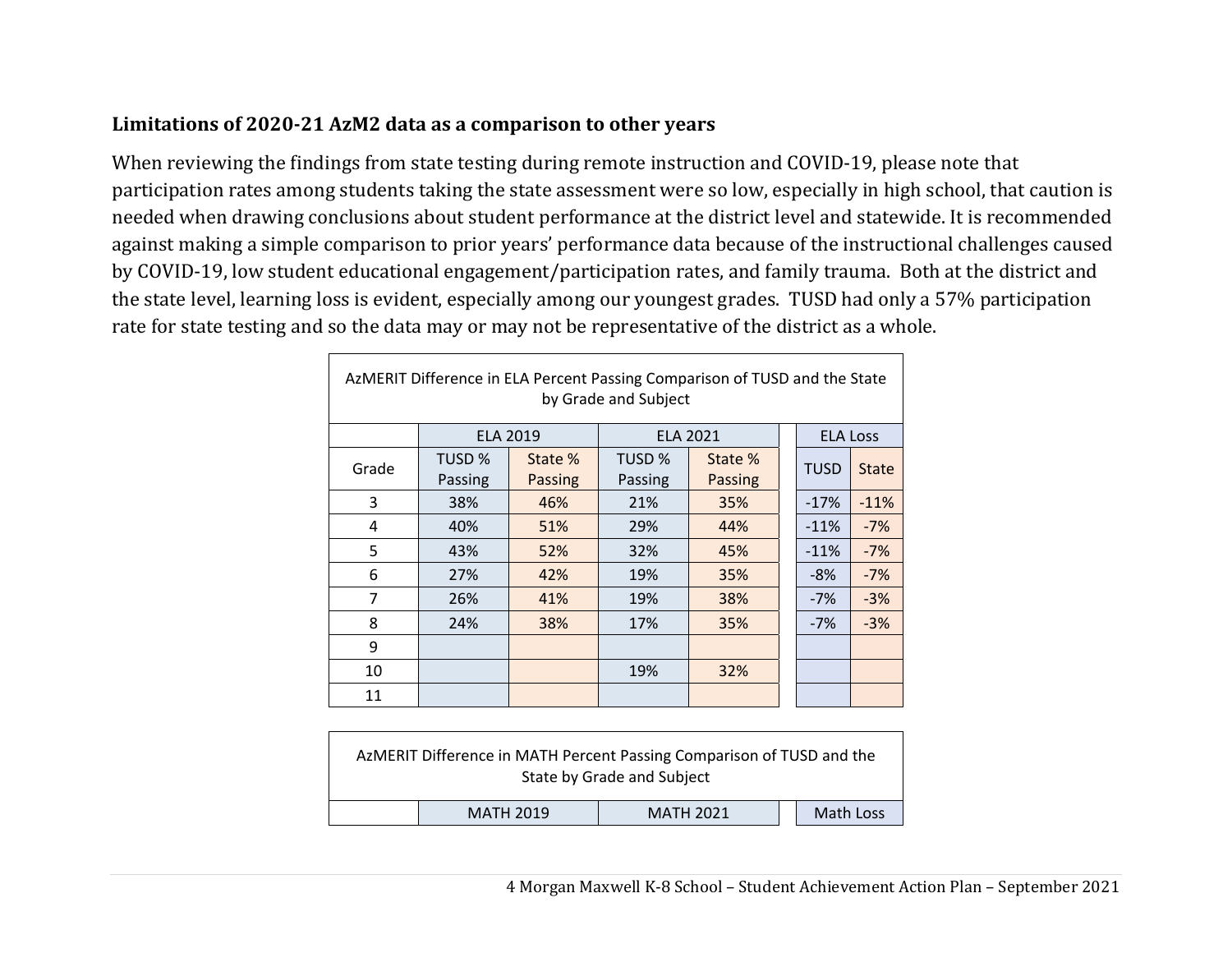### **Limitations of 2020‐21 AzM2 data as a comparison to other years**

 $\Gamma$ 

When reviewing the findings from state testing during remote instruction and COVID-19, please note that participation rates among students taking the state assessment were so low, especially in high school, that caution is needed when drawing conclusions about student performance at the district level and statewide. It is recommended against making a simple comparison to prior years' performance data because of the instructional challenges caused by COVID-19, low student educational engagement/participation rates, and family trauma. Both at the district and the state level, learning loss is evident, especially among our youngest grades. TUSD had only a 57% participation rate for state testing and so the data may or may not be representative of the district as a whole.

| AzMERIT Difference in ELA Percent Passing Comparison of TUSD and the State<br>by Grade and Subject |                   |                    |                   |                    |  |                 |              |  |  |
|----------------------------------------------------------------------------------------------------|-------------------|--------------------|-------------------|--------------------|--|-----------------|--------------|--|--|
|                                                                                                    | <b>ELA 2019</b>   |                    | <b>ELA 2021</b>   |                    |  | <b>ELA Loss</b> |              |  |  |
| Grade                                                                                              | TUSD %<br>Passing | State %<br>Passing | TUSD %<br>Passing | State %<br>Passing |  | <b>TUSD</b>     | <b>State</b> |  |  |
| 3                                                                                                  | 38%               | 46%                | 21%               | 35%                |  | $-17%$          | $-11%$       |  |  |
| 4                                                                                                  | 40%               | 51%                | 29%               | 44%                |  | $-11%$          | $-7%$        |  |  |
| 5                                                                                                  | 43%               | 52%                | 32%               | 45%                |  | $-11%$          | $-7%$        |  |  |
| 6                                                                                                  | 27%               | 42%                | 19%               | 35%                |  | $-8%$           | $-7%$        |  |  |
| $\overline{7}$                                                                                     | 26%               | 41%                | 19%               | 38%                |  | $-7%$           | $-3%$        |  |  |
| 8                                                                                                  | 24%               | 38%                | 17%               | 35%                |  | $-7%$           | $-3%$        |  |  |
| 9                                                                                                  |                   |                    |                   |                    |  |                 |              |  |  |
| 10                                                                                                 |                   |                    | 19%               | 32%                |  |                 |              |  |  |
| 11                                                                                                 |                   |                    |                   |                    |  |                 |              |  |  |

|                  | AzMERIT Difference in MATH Percent Passing Comparison of TUSD and the<br>State by Grade and Subject |           |
|------------------|-----------------------------------------------------------------------------------------------------|-----------|
| <b>MATH 2019</b> | <b>MATH 2021</b>                                                                                    | Math Loss |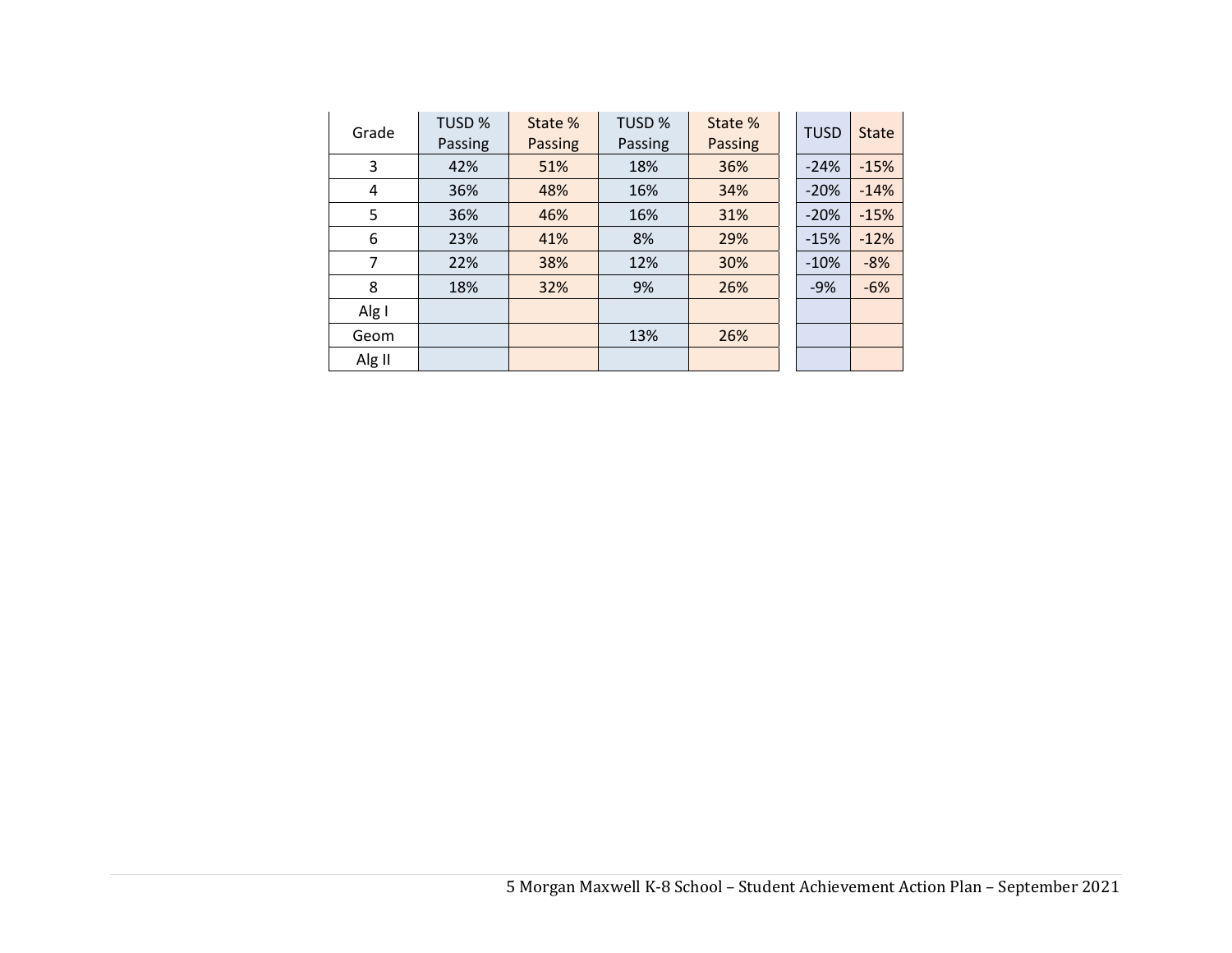| Grade  | TUSD %<br>Passing | State %<br>Passing | TUSD %<br>Passing | State %<br><b>Passing</b> | <b>TUSD</b> | <b>State</b> |
|--------|-------------------|--------------------|-------------------|---------------------------|-------------|--------------|
| 3      | 42%               | 51%                | 18%               | 36%                       | $-24%$      | $-15%$       |
| 4      | 36%               | 48%                | 16%               | 34%                       | $-20%$      | $-14%$       |
| 5      | 36%               | 46%                | 16%               | 31%                       | $-20%$      | $-15%$       |
| 6      | 23%               | 41%                | 8%                | 29%                       | $-15%$      | $-12%$       |
| 7      | 22%               | 38%                | 12%               | 30%                       | $-10%$      | $-8%$        |
| 8      | 18%               | 32%                | 9%                | 26%                       | $-9%$       | $-6%$        |
| Alg I  |                   |                    |                   |                           |             |              |
| Geom   |                   |                    | 13%               | 26%                       |             |              |
| Alg II |                   |                    |                   |                           |             |              |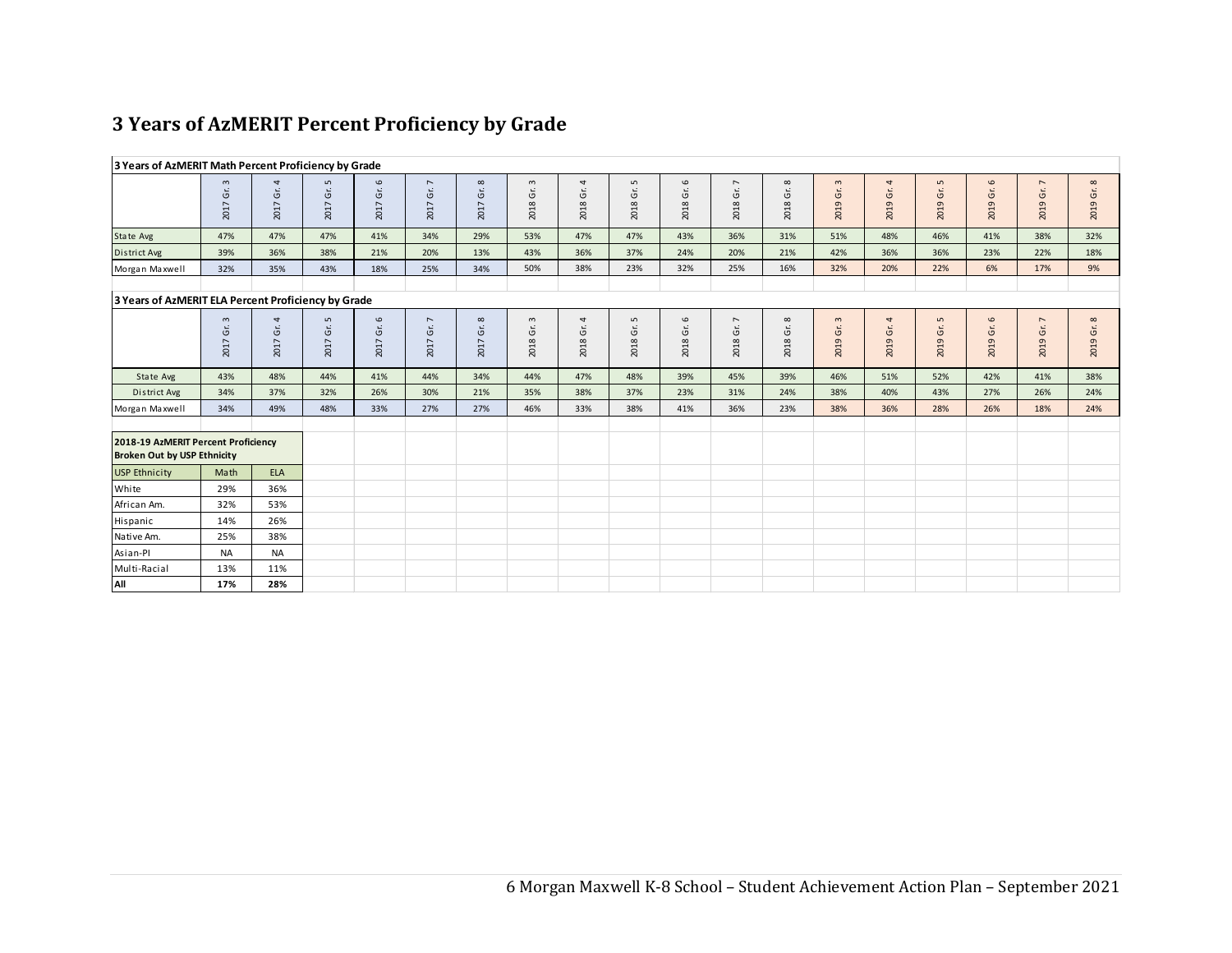### **3 Years of AzMERIT Percent Proficiency by Grade**

|                                                                           | 3 Years of AzMERIT Math Percent Proficiency by Grade |                  |                                 |                                 |                                      |                           |                                              |                                   |                                |            |                                         |                 |                          |               |                                    |                                |                  |            |
|---------------------------------------------------------------------------|------------------------------------------------------|------------------|---------------------------------|---------------------------------|--------------------------------------|---------------------------|----------------------------------------------|-----------------------------------|--------------------------------|------------|-----------------------------------------|-----------------|--------------------------|---------------|------------------------------------|--------------------------------|------------------|------------|
|                                                                           | $\mathsf m$<br>Ġ.<br>2017                            | 4<br>Ġr.<br>2017 | $\mathsf{L}\cap$<br>Ġŕ.<br>2017 | $\mathbf \omega$<br>Gr.<br>2017 | $\overline{\phantom{a}}$<br>2017 Gr. | $\infty$<br>$G$ .<br>2017 | $\mathsf m$<br>$\mathfrak{\dot{5}}$<br>2018  | 4<br>$\mathfrak{\dot{5}}$<br>2018 | $\mathsf{L}\cap$<br>Ġ.<br>2018 | 2018 Gr. 6 | $\overline{ }$<br>Gr.<br>2018           | 2018 Gr. 8      | $\mathsf{m}$<br>2019 Gr. | 4<br>2019 Gr. | $\mathsf{L}\mathsf{D}$<br>2019 Gr. | $\mathbf \omega$<br>Ġ.<br>2019 | 7<br>Gr.<br>2019 | 2019 Gr. 8 |
| State Avg                                                                 | 47%                                                  | 47%              | 47%                             | 41%                             | 34%                                  | 29%                       | 53%                                          | 47%                               | 47%                            | 43%        | 36%                                     | 31%             | 51%                      | 48%           | 46%                                | 41%                            | 38%              | 32%        |
| District Avg                                                              | 39%                                                  | 36%              | 38%                             | 21%                             | 20%                                  | 13%                       | 43%                                          | 36%                               | 37%                            | 24%        | 20%                                     | 21%             | 42%                      | 36%           | 36%                                | 23%                            | 22%              | 18%        |
| Morgan Maxwell                                                            | 32%                                                  | 35%              | 43%                             | 18%                             | 25%                                  | 34%                       | 50%                                          | 38%                               | 23%                            | 32%        | 25%                                     | 16%             | 32%                      | 20%           | 22%                                | 6%                             | 17%              | 9%         |
| 3 Years of AzMERIT ELA Percent Proficiency by Grade                       |                                                      |                  |                                 |                                 |                                      |                           |                                              |                                   |                                |            |                                         |                 |                          |               |                                    |                                |                  |            |
|                                                                           | $\mathsf m$<br>Ġŕ.<br>2017                           | 4<br>Gr.<br>2017 | $\mathsf{L}\cap$<br>Ġŕ.<br>2017 | $\mathbf \omega$<br>Gr.<br>2017 | $\overline{\phantom{a}}$<br>2017 Gr. | $\infty$<br>Ġr.<br>2017   | $\mathsf{m}$<br>$\mathfrak{\dot{5}}$<br>2018 | 4<br>Ġŕ.<br>2018                  | S<br>Ġ.<br>2018                | 2018 Gr. 6 | $\overline{\phantom{a}}$<br>Ġŕ.<br>2018 | Gr. $8$<br>2018 | $\mathbf{c}$<br>2019 Gr. | 4<br>2019 Gr. | $\mathsf{L}$<br>2019 Gr.           | $\mathbf \omega$<br>Ġ.<br>2019 | 7<br>Gr.<br>2019 | 2019 Gr. 8 |
| State Avg                                                                 | 43%                                                  | 48%              | 44%                             | 41%                             | 44%                                  | 34%                       | 44%                                          | 47%                               | 48%                            | 39%        | 45%                                     | 39%             | 46%                      | 51%           | 52%                                | 42%                            | 41%              | 38%        |
| District Avg                                                              | 34%                                                  | 37%              | 32%                             | 26%                             | 30%                                  | 21%                       | 35%                                          | 38%                               | 37%                            | 23%        | 31%                                     | 24%             | 38%                      | 40%           | 43%                                | 27%                            | 26%              | 24%        |
| Morgan Maxwell                                                            | 34%                                                  | 49%              | 48%                             | 33%                             | 27%                                  | 27%                       | 46%                                          | 33%                               | 38%                            | 41%        | 36%                                     | 23%             | 38%                      | 36%           | 28%                                | 26%                            | 18%              | 24%        |
| 2018-19 AzMERIT Percent Proficiency<br><b>Broken Out by USP Ethnicity</b> |                                                      |                  |                                 |                                 |                                      |                           |                                              |                                   |                                |            |                                         |                 |                          |               |                                    |                                |                  |            |
| <b>USP Ethnicity</b>                                                      | Math                                                 | <b>ELA</b>       |                                 |                                 |                                      |                           |                                              |                                   |                                |            |                                         |                 |                          |               |                                    |                                |                  |            |
| White                                                                     | 29%                                                  | 36%              |                                 |                                 |                                      |                           |                                              |                                   |                                |            |                                         |                 |                          |               |                                    |                                |                  |            |
| African Am.                                                               | 32%                                                  | 53%              |                                 |                                 |                                      |                           |                                              |                                   |                                |            |                                         |                 |                          |               |                                    |                                |                  |            |
| Hispanic                                                                  | 14%                                                  | 26%              |                                 |                                 |                                      |                           |                                              |                                   |                                |            |                                         |                 |                          |               |                                    |                                |                  |            |
| Native Am.                                                                | 25%                                                  | 38%              |                                 |                                 |                                      |                           |                                              |                                   |                                |            |                                         |                 |                          |               |                                    |                                |                  |            |
| Asian-Pl                                                                  | <b>NA</b>                                            | <b>NA</b>        |                                 |                                 |                                      |                           |                                              |                                   |                                |            |                                         |                 |                          |               |                                    |                                |                  |            |
| Multi-Racial                                                              | 13%                                                  | 11%              |                                 |                                 |                                      |                           |                                              |                                   |                                |            |                                         |                 |                          |               |                                    |                                |                  |            |
| All                                                                       | 17%                                                  | 28%              |                                 |                                 |                                      |                           |                                              |                                   |                                |            |                                         |                 |                          |               |                                    |                                |                  |            |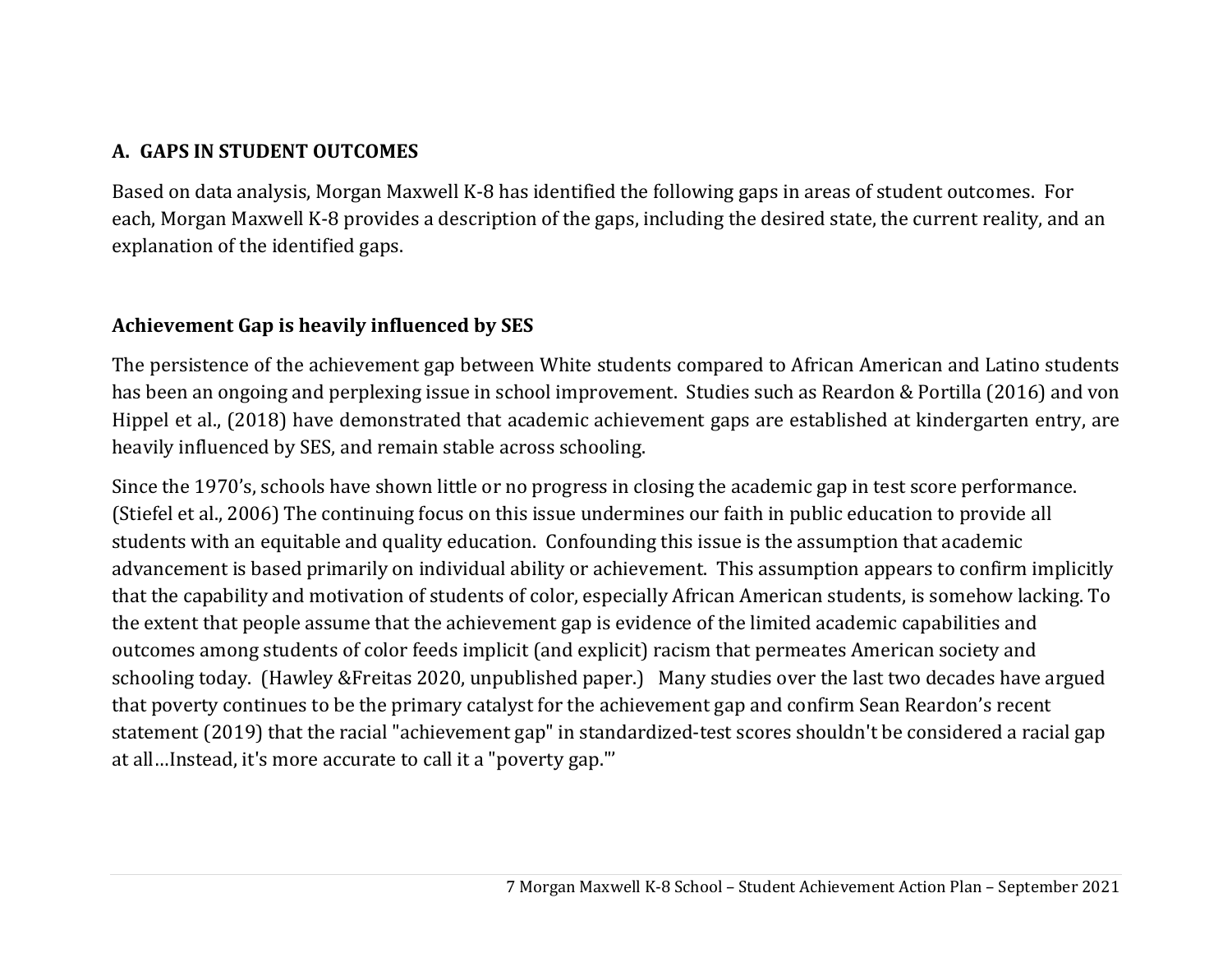# **A. GAPS IN STUDENT OUTCOMES**

Based on data analysis, Morgan Maxwell K-8 has identified the following gaps in areas of student outcomes. For each, Morgan Maxwell K-8 provides a description of the gaps, including the desired state, the current reality, and an explanation of the identified gaps.

### **Achievement Gap is heavily influenced by SES**

The persistence of the achievement gap between White students compared to African American and Latino students has been an ongoing and perplexing issue in school improvement. Studies such as Reardon & Portilla (2016) and von Hippel et al., (2018) have demonstrated that academic achievement gaps are established at kindergarten entry, are heavily influenced by SES, and remain stable across schooling.

Since the 1970's, schools have shown little or no progress in closing the academic gap in test score performance. (Stiefel et al., 2006) The continuing focus on this issue undermines our faith in public education to provide all students with an equitable and quality education. Confounding this issue is the assumption that academic advancement is based primarily on individual ability or achievement. This assumption appears to confirm implicitly that the capability and motivation of students of color, especially African American students, is somehow lacking. To the extent that people assume that the achievement gap is evidence of the limited academic capabilities and outcomes among students of color feeds implicit (and explicit) racism that permeates American society and schooling today. (Hawley &Freitas 2020, unpublished paper.) Many studies over the last two decades have argued that poverty continues to be the primary catalyst for the achievement gap and confirm Sean Reardon's recent statement (2019) that the racial "achievement gap" in standardized-test scores shouldn't be considered a racial gap at all…Instead, it's more accurate to call it a "poverty gap."'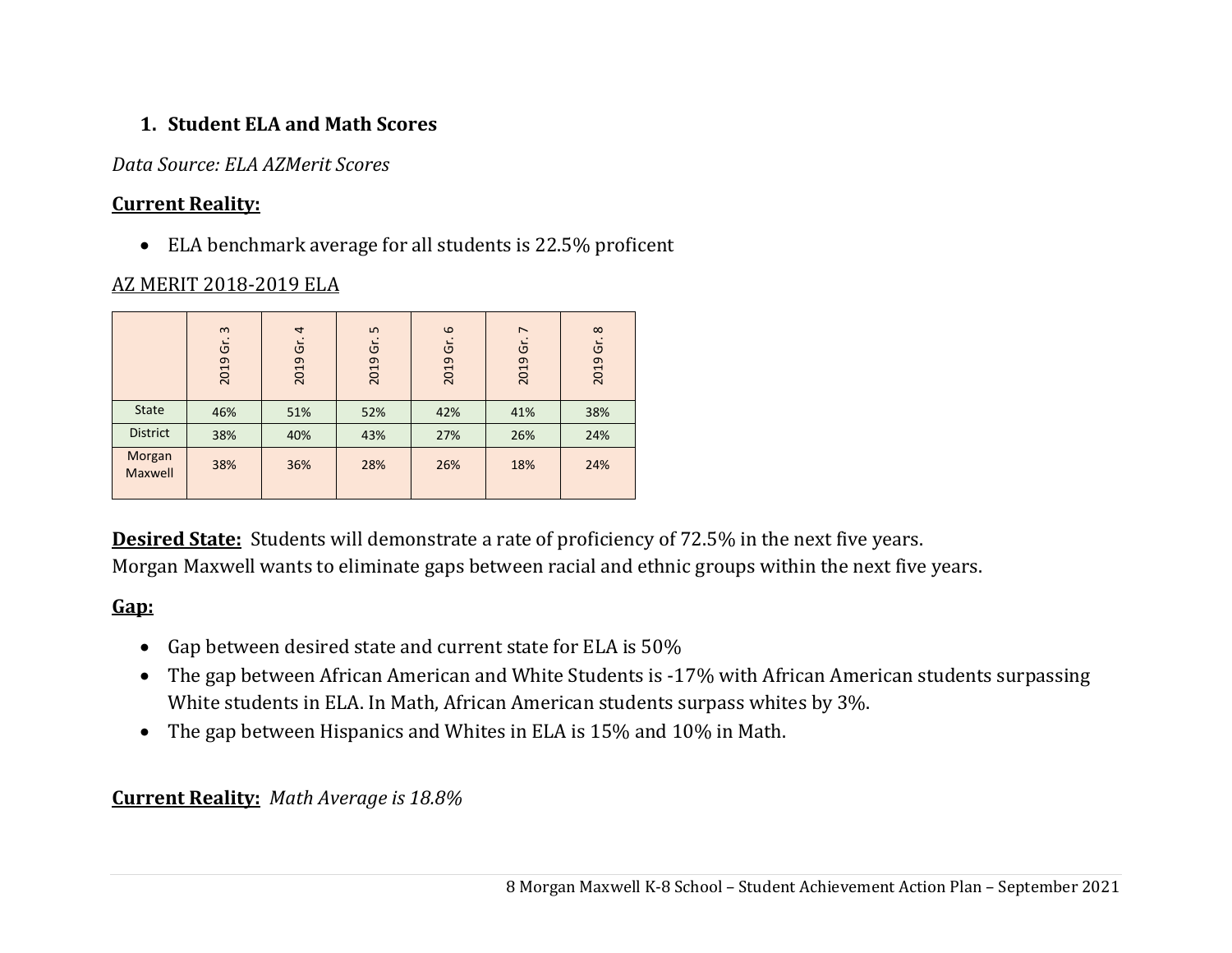# **1. Student ELA and Math Scores**

### *Data Source: ELA AZMerit Scores*

### **Current Reality:**

ELA benchmark average for all students is 22.5% proficent

### AZ MERIT 2018-2019 ELA

|                   | $\mathbf{\omega}$<br>Ġr.<br>2019 | $\overline{a}$<br>Ġ<br>2019 | $\overline{5}$<br>Ġ<br>2019 | $\omega$<br>Ġ<br>2019 | $\overline{ }$<br>Ğ<br>2019 | $\infty$<br>ູ່ ຕ<br>2019 |
|-------------------|----------------------------------|-----------------------------|-----------------------------|-----------------------|-----------------------------|--------------------------|
| <b>State</b>      | 46%                              | 51%                         | 52%                         | 42%                   | 41%                         | 38%                      |
| <b>District</b>   | 38%                              | 40%                         | 43%                         | 27%                   | 26%                         | 24%                      |
| Morgan<br>Maxwell | 38%                              | 36%                         | 28%                         | 26%                   | 18%                         | 24%                      |

**Desired State:** Students will demonstrate a rate of proficiency of 72.5% in the next five years. Morgan Maxwell wants to eliminate gaps between racial and ethnic groups within the next five years.

# **Gap:**

- Gap between desired state and current state for ELA is  $50\%$
- The gap between African American and White Students is -17% with African American students surpassing White students in ELA. In Math, African American students surpass whites by 3%.
- The gap between Hispanics and Whites in ELA is 15% and 10% in Math.

#### **Current Reality:** *Math Average is 18.8%*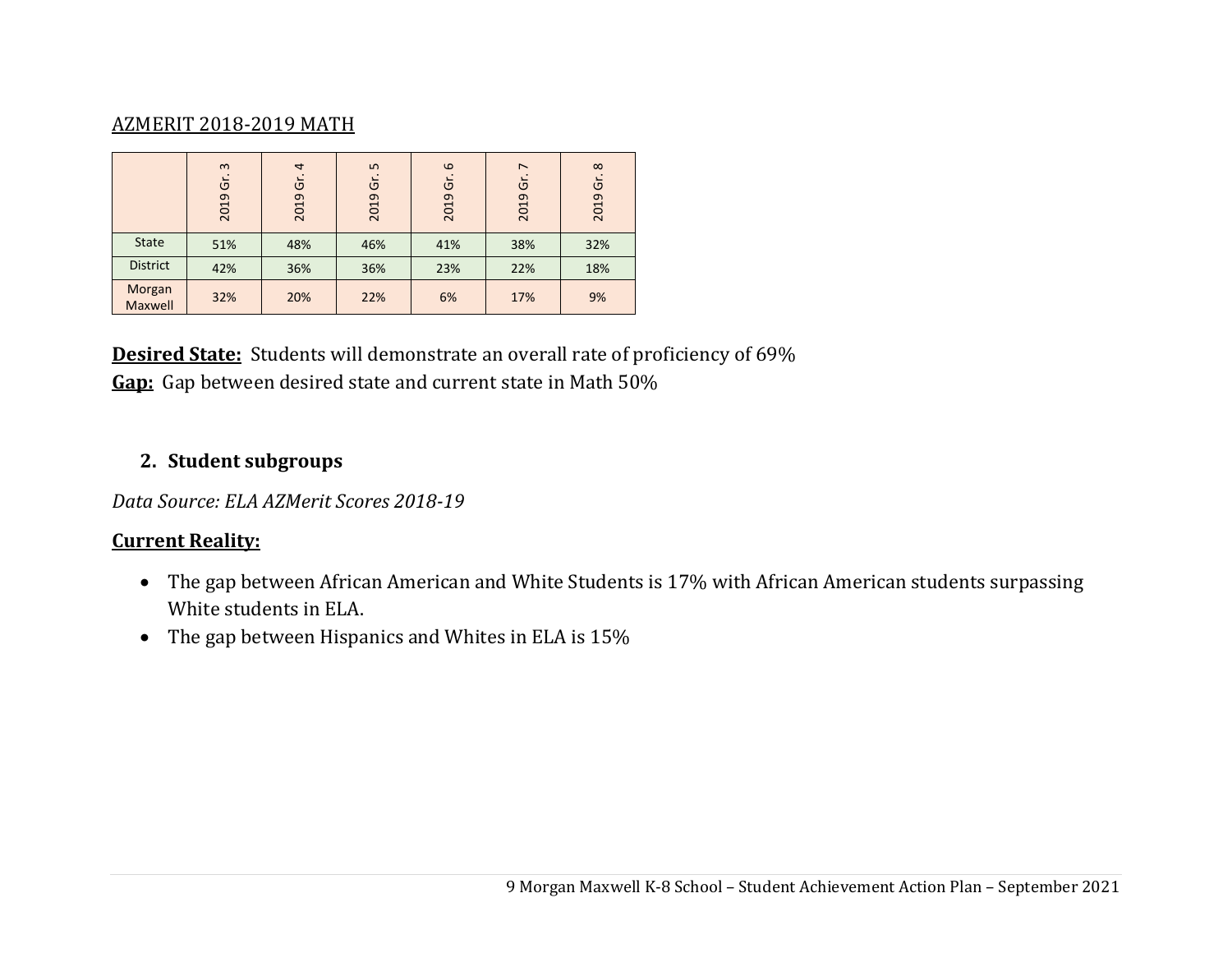### AZMERIT 2018-2019 MATH

|                   | $\mathbf{c}$<br>$\overline{5}$<br>2019 | $\overline{4}$<br>Ğ<br>2019 | LN.<br>Ğ<br>2019 | $\omega$<br>$\overline{5}$<br>2019 | $\overline{ }$<br>$\overline{5}$<br>2019 | $\infty$<br>$\overline{5}$<br>2019 |
|-------------------|----------------------------------------|-----------------------------|------------------|------------------------------------|------------------------------------------|------------------------------------|
| <b>State</b>      | 51%                                    | 48%                         | 46%              | 41%                                | 38%                                      | 32%                                |
| <b>District</b>   | 42%                                    | 36%                         | 36%              | 23%                                | 22%                                      | 18%                                |
| Morgan<br>Maxwell | 32%                                    | 20%                         | 22%              | 6%                                 | 17%                                      | 9%                                 |

**Desired State:** Students will demonstrate an overall rate of proficiency of 69% **Gap:** Gap between desired state and current state in Math 50%

#### **2. Student subgroups**

*Data Source: ELA AZMerit Scores 2018‐19*

#### **Current Reality:**

- The gap between African American and White Students is 17% with African American students surpassing White students in ELA.
- The gap between Hispanics and Whites in ELA is 15%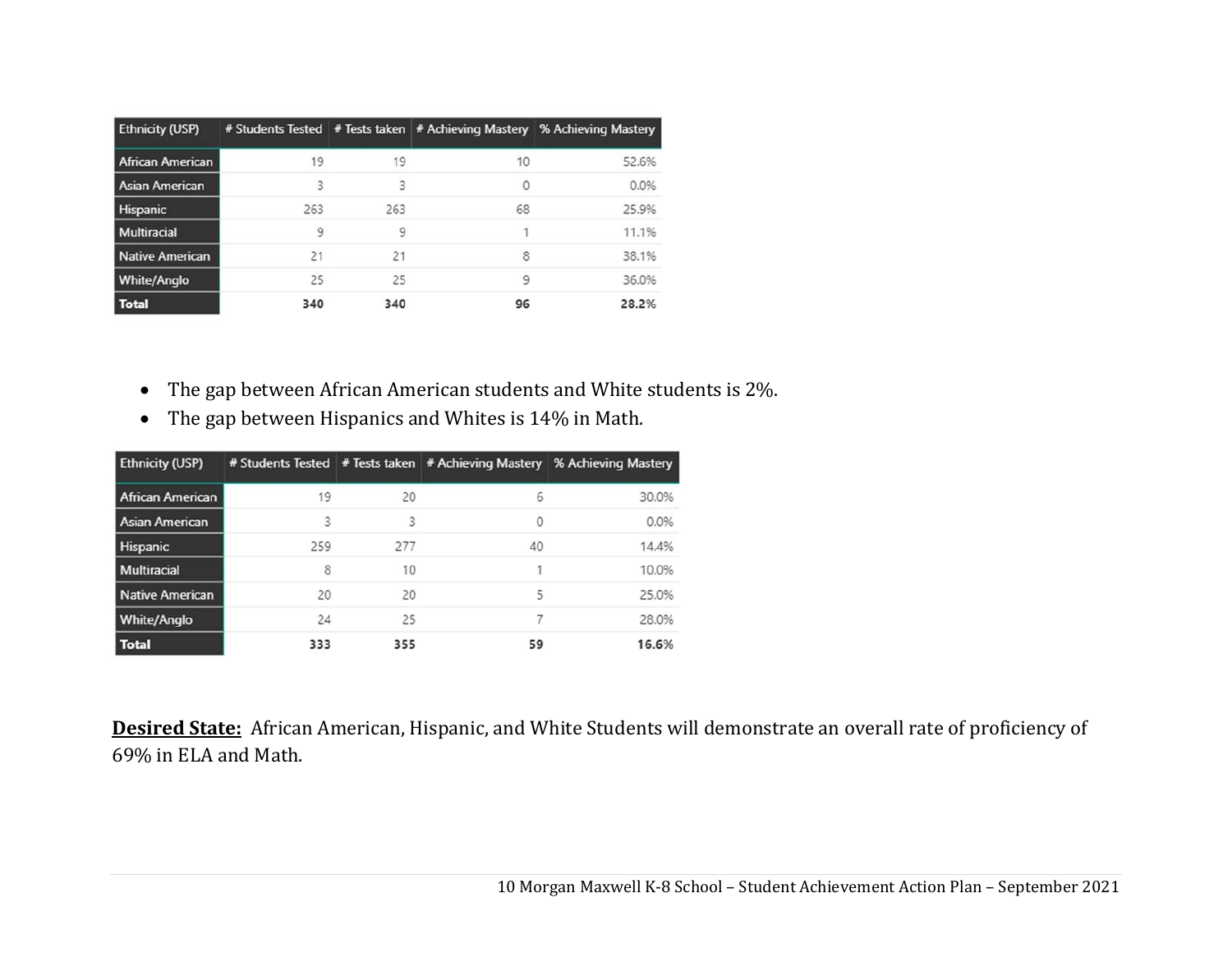| <b>Ethnicity (USP)</b>  |     |     |          | # Students Tested   # Tests taken   # Achieving Mastery % Achieving Mastery |
|-------------------------|-----|-----|----------|-----------------------------------------------------------------------------|
| <b>African American</b> | 19  | 19  | 10       | 52.6%                                                                       |
| <b>Asian American</b>   | 5   | R   | $\Omega$ | 0.0%                                                                        |
| Hispanic                | 263 | 263 | 68       | 25.9%                                                                       |
| Multiracial             | 9   | 9   |          | 11.1%                                                                       |
| Native American         | 21  | 21  | 8        | 38.1%                                                                       |
| <b>White/Anglo</b>      | 25  | 25  | 9        | 36.0%                                                                       |
| <b>Total</b>            | 340 | 340 | 96       | 28.2%                                                                       |

- $\bullet$ The gap between African American students and White students is 2%.
- The gap between Hispanics and Whites is 14% in Math.

| <b>Ethnicity (USP)</b>  |     |     |    | # Students Tested # Tests taken   # Achieving Mastery % Achieving Mastery |
|-------------------------|-----|-----|----|---------------------------------------------------------------------------|
| <b>African American</b> | 19  | 20  | 6  | 30.0%                                                                     |
| Asian American          | 3   | 3   | 0  | 0.0%                                                                      |
| Hispanic                | 259 | 277 | 40 | 14.4%                                                                     |
| <b>Multiracial</b>      | 8   | 10  |    | 10.0%                                                                     |
| Native American         | 20  | 20  | 5  | 25.0%                                                                     |
| <b>White/Anglo</b>      | 24  | 25  |    | 28.0%                                                                     |
| <b>Total</b>            | 333 | 355 | 59 | 16.6%                                                                     |

**Desired State:** African American, Hispanic, and White Students will demonstrate an overall rate of proficiency of 69% in ELA and Math.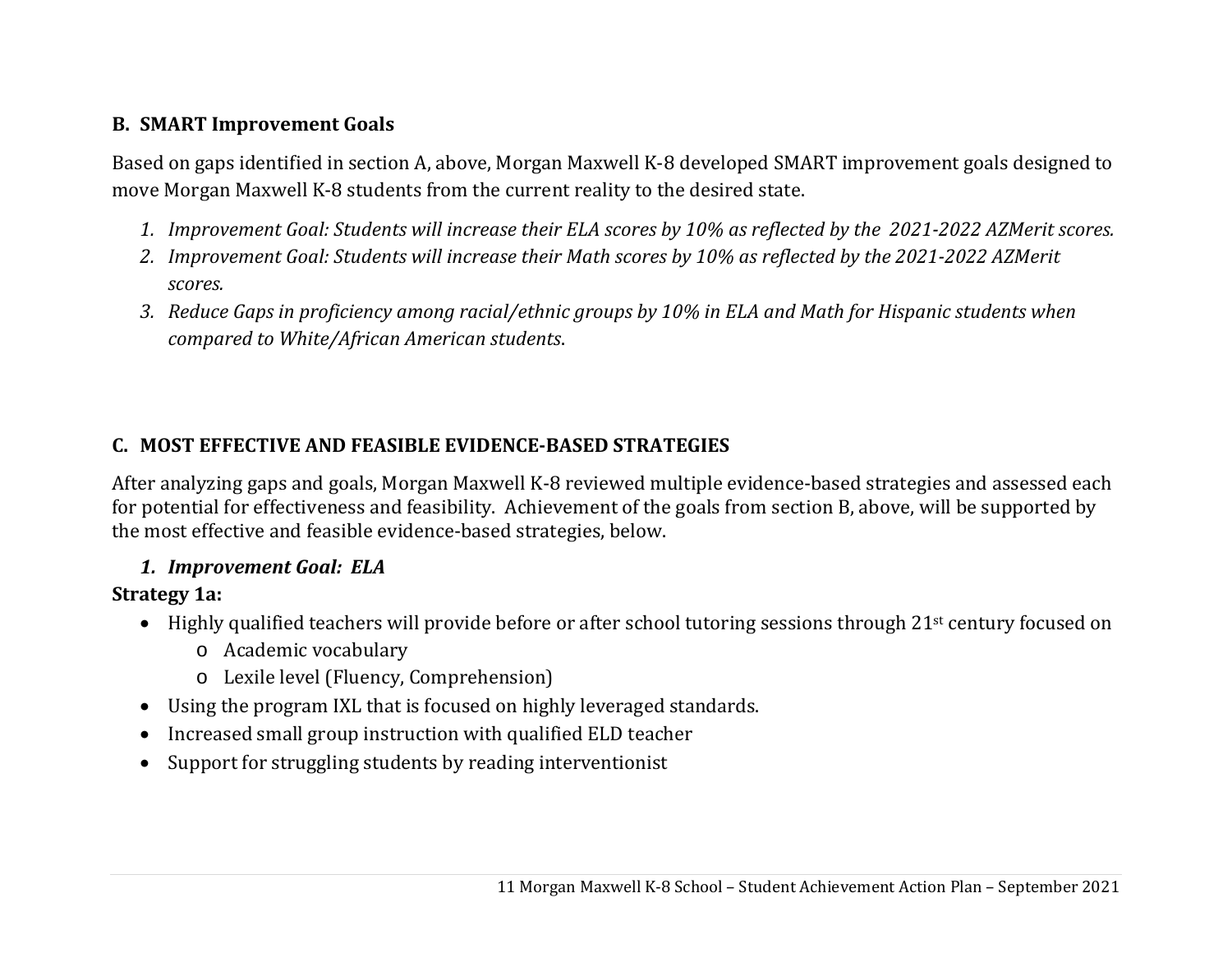## **B. SMART Improvement Goals**

Based on gaps identified in section A, above, Morgan Maxwell K-8 developed SMART improvement goals designed to move Morgan Maxwell K-8 students from the current reality to the desired state.

- 1. Improvement Goal: Students will increase their ELA scores by 10% as reflected by the 2021-2022 AZMerit scores.
- 2. Improvement Goal: Students will increase their Math scores by 10% as reflected by the 2021-2022 AZMerit *scores.*
- 3. Reduce Gaps in proficiency among racial/ethnic groups by 10% in ELA and Math for Hispanic students when *compared to White/African American students*.

# **C. MOST EFFECTIVE AND FEASIBLE EVIDENCE‐BASED STRATEGIES**

After analyzing gaps and goals, Morgan Maxwell K-8 reviewed multiple evidence-based strategies and assessed each for potential for effectiveness and feasibility. Achievement of the goals from section B, above, will be supported by the most effective and feasible evidence-based strategies, below.

# *1. Improvement Goal: ELA*

# **Strategy 1a:**

- $\bullet$  Highly qualified teachers will provide before or after school tutoring sessions through 21st century focused on
	- o Academic vocabulary
	- o Lexile level (Fluency, Comprehension)
- Using the program IXL that is focused on highly leveraged standards.
- $\bullet$ Increased small group instruction with qualified ELD teacher
- $\bullet$ Support for struggling students by reading interventionist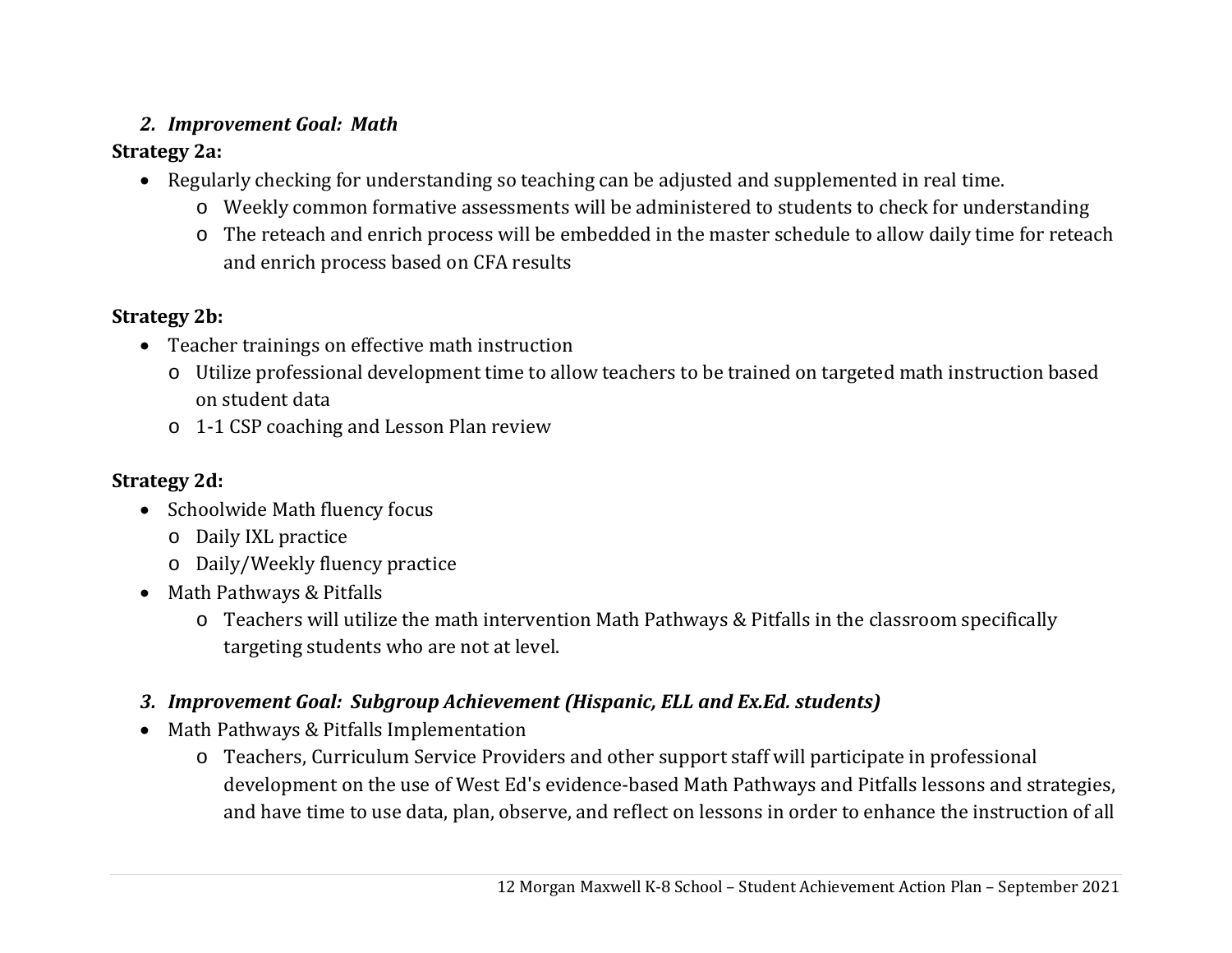# *2. Improvement Goal: Math*

# **Strategy 2a:**

- Regularly checking for understanding so teaching can be adjusted and supplemented in real time.
	- o Weekly common formative assessments will be administered to students to check for understanding
	- o The reteach and enrich process will be embedded in the master schedule to allow daily time for reteach and enrich process based on CFA results

# **Strategy 2b:**

- Teacher trainings on effective math instruction
	- o Utilize professional development time to allow teachers to be trained on targeted math instruction based on student data
	- o 1-1 CSP coaching and Lesson Plan review

# **Strategy 2d:**

- Schoolwide Math fluency focus
	- o Daily IXL practice
	- o Daily/Weekly fluency practice
- Math Pathways & Pitfalls
	- o Teachers will utilize the math intervention Math Pathways & Pitfalls in the classroom specifically targeting students who are not at level.

# *3. Improvement Goal: Subgroup Achievement (Hispanic, ELL and Ex.Ed. students)*

- Math Pathways & Pitfalls Implementation
	- o Teachers, Curriculum Service Providers and other support staff will participate in professional development on the use of West Ed's evidence-based Math Pathways and Pitfalls lessons and strategies, and have time to use data, plan, observe, and reflect on lessons in order to enhance the instruction of all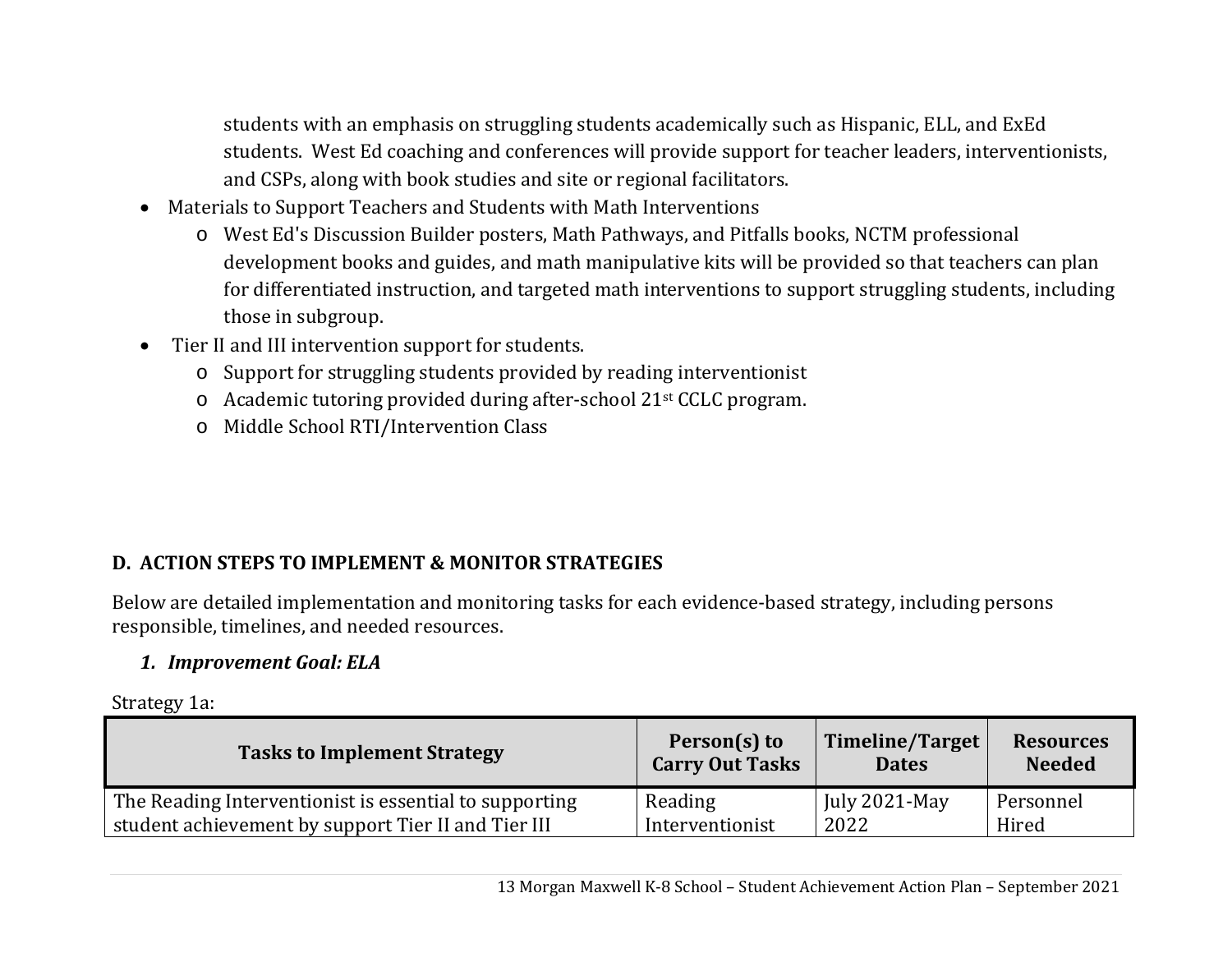students with an emphasis on struggling students academically such as Hispanic, ELL, and ExEd students. West Ed coaching and conferences will provide support for teacher leaders, interventionists, and CSPs, along with book studies and site or regional facilitators.

- Materials to Support Teachers and Students with Math Interventions
	- o West Ed's Discussion Builder posters, Math Pathways, and Pitfalls books, NCTM professional development books and guides, and math manipulative kits will be provided so that teachers can plan for differentiated instruction, and targeted math interventions to support struggling students, including those in subgroup.
- Tier II and III intervention support for students.
	- o Support for struggling students provided by reading interventionist
	- o Academic tutoring provided during after-school 21st CCLC program.
	- o Middle School RTI/Intervention Class

# **D. ACTION STEPS TO IMPLEMENT & MONITOR STRATEGIES**

Below are detailed implementation and monitoring tasks for each evidence-based strategy, including persons responsible, timelines, and needed resources.

# *1. Improvement Goal: ELA*

Strategy 1a:

| <b>Tasks to Implement Strategy</b>                     | Person(s) to<br><b>Carry Out Tasks</b> | Timeline/Target<br><b>Dates</b> | <b>Resources</b><br><b>Needed</b> |
|--------------------------------------------------------|----------------------------------------|---------------------------------|-----------------------------------|
| The Reading Interventionist is essential to supporting | Reading                                | July $2021$ -May                | Personnel                         |
| student achievement by support Tier II and Tier III    | Interventionist                        | 2022                            | Hired                             |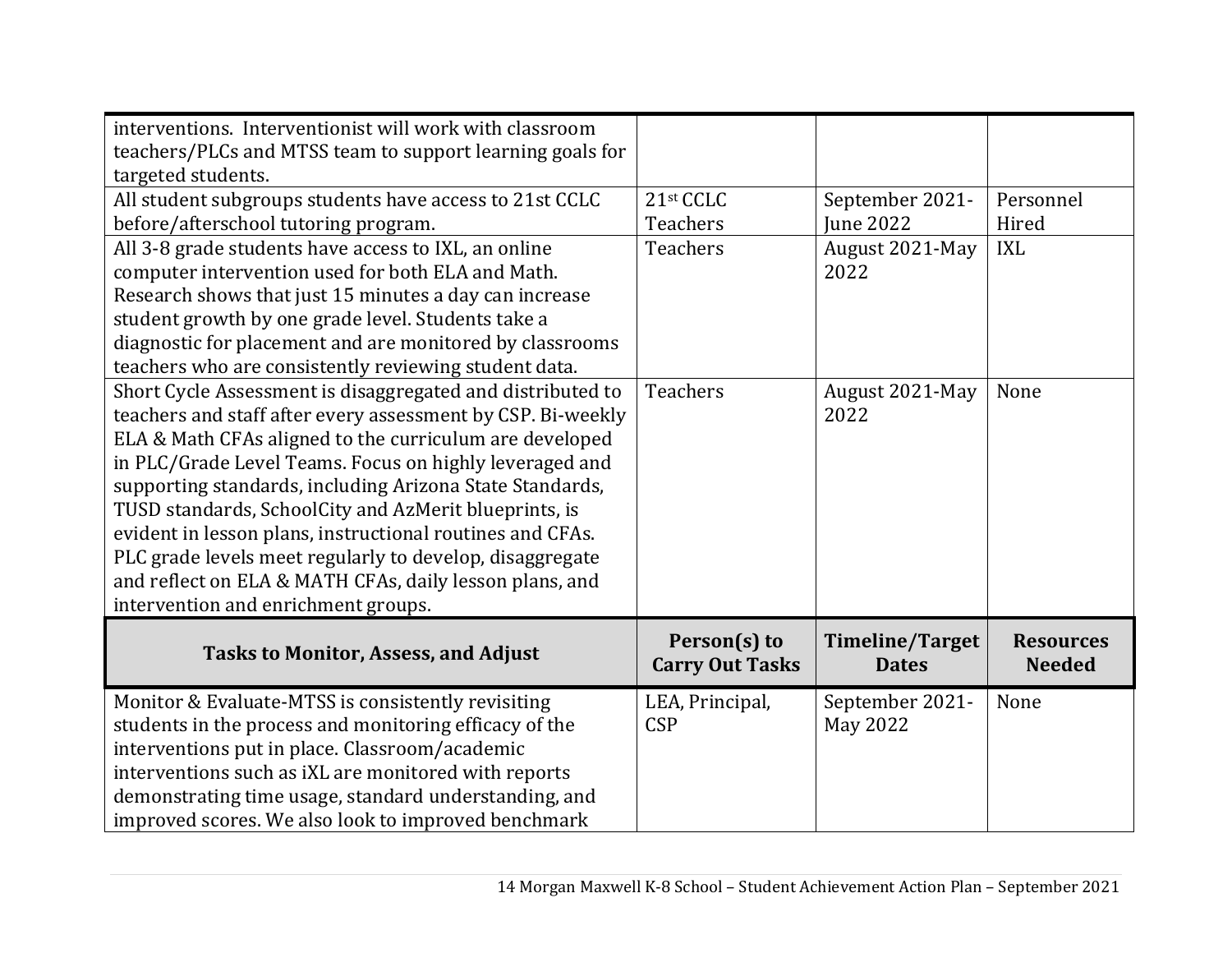| interventions. Interventionist will work with classroom<br>teachers/PLCs and MTSS team to support learning goals for<br>targeted students.                                                                                                                                                                                                                                                                                                                                                                                                                                                      |                                        |                                        |                                   |
|-------------------------------------------------------------------------------------------------------------------------------------------------------------------------------------------------------------------------------------------------------------------------------------------------------------------------------------------------------------------------------------------------------------------------------------------------------------------------------------------------------------------------------------------------------------------------------------------------|----------------------------------------|----------------------------------------|-----------------------------------|
| All student subgroups students have access to 21st CCLC<br>before/afterschool tutoring program.                                                                                                                                                                                                                                                                                                                                                                                                                                                                                                 | 21st CCLC<br>Teachers                  | September 2021-<br><b>Iune 2022</b>    | Personnel<br>Hired                |
| All 3-8 grade students have access to IXL, an online<br>computer intervention used for both ELA and Math.<br>Research shows that just 15 minutes a day can increase<br>student growth by one grade level. Students take a<br>diagnostic for placement and are monitored by classrooms<br>teachers who are consistently reviewing student data.                                                                                                                                                                                                                                                  | <b>Teachers</b>                        | August 2021-May<br>2022                | <b>IXL</b>                        |
| Short Cycle Assessment is disaggregated and distributed to<br>teachers and staff after every assessment by CSP. Bi-weekly<br>ELA & Math CFAs aligned to the curriculum are developed<br>in PLC/Grade Level Teams. Focus on highly leveraged and<br>supporting standards, including Arizona State Standards,<br>TUSD standards, SchoolCity and AzMerit blueprints, is<br>evident in lesson plans, instructional routines and CFAs.<br>PLC grade levels meet regularly to develop, disaggregate<br>and reflect on ELA & MATH CFAs, daily lesson plans, and<br>intervention and enrichment groups. | Teachers                               | August 2021-May<br>2022                | None                              |
| <b>Tasks to Monitor, Assess, and Adjust</b>                                                                                                                                                                                                                                                                                                                                                                                                                                                                                                                                                     | Person(s) to<br><b>Carry Out Tasks</b> | <b>Timeline/Target</b><br><b>Dates</b> | <b>Resources</b><br><b>Needed</b> |
| Monitor & Evaluate-MTSS is consistently revisiting<br>students in the process and monitoring efficacy of the<br>interventions put in place. Classroom/academic<br>interventions such as iXL are monitored with reports<br>demonstrating time usage, standard understanding, and<br>improved scores. We also look to improved benchmark                                                                                                                                                                                                                                                          | LEA, Principal,<br><b>CSP</b>          | September 2021-<br><b>May 2022</b>     | None                              |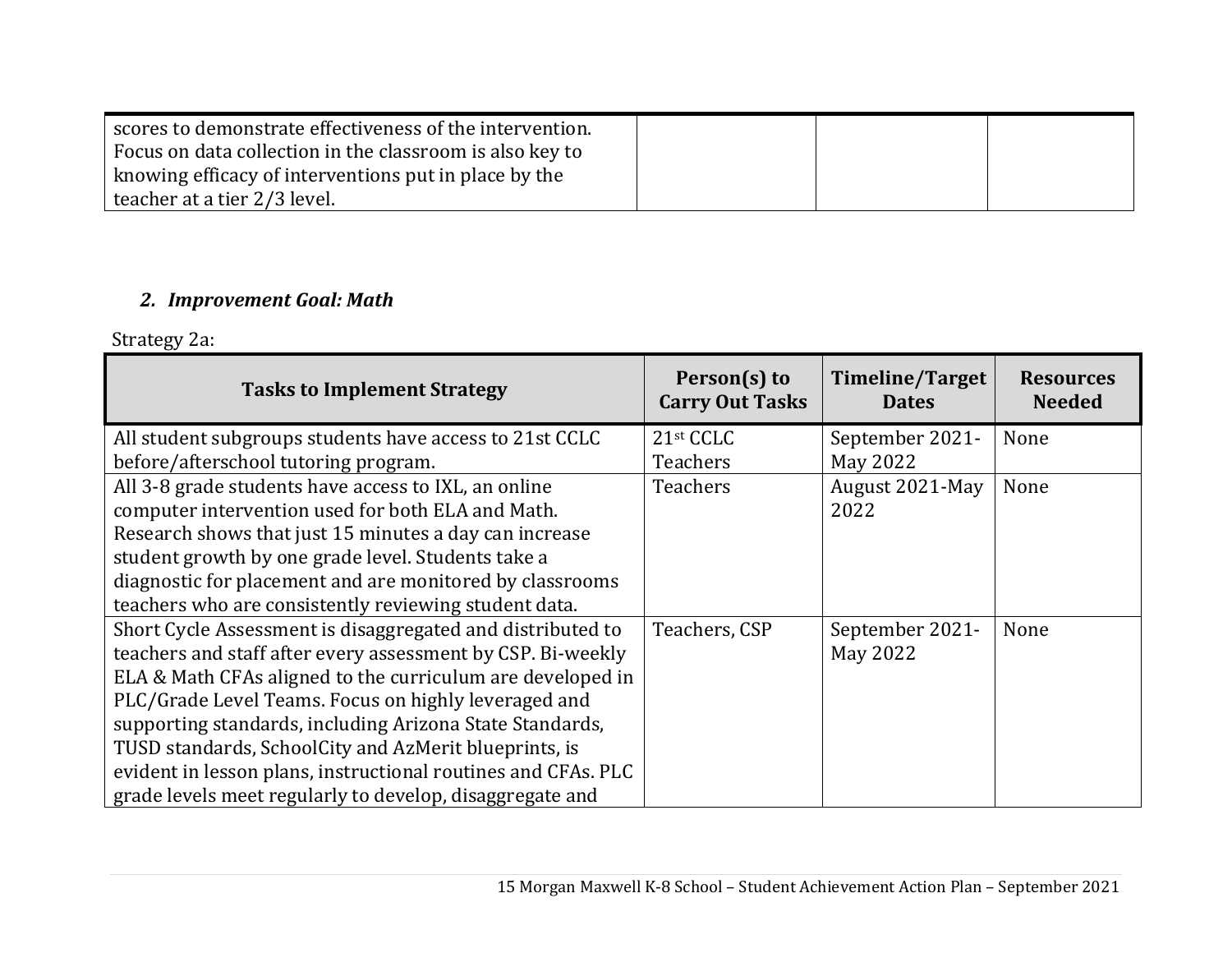| scores to demonstrate effectiveness of the intervention. |  |  |
|----------------------------------------------------------|--|--|
| Focus on data collection in the classroom is also key to |  |  |
| knowing efficacy of interventions put in place by the    |  |  |
| teacher at a tier 2/3 level.                             |  |  |

# *2. Improvement Goal: Math*

Strategy 2a:

| <b>Tasks to Implement Strategy</b>                            | Person(s) to<br><b>Carry Out Tasks</b> | Timeline/Target<br><b>Dates</b> | <b>Resources</b><br><b>Needed</b> |
|---------------------------------------------------------------|----------------------------------------|---------------------------------|-----------------------------------|
| All student subgroups students have access to 21st CCLC       | 21st CCLC                              | September 2021-                 | None                              |
| before/afterschool tutoring program.                          | <b>Teachers</b>                        | May 2022                        |                                   |
| All 3-8 grade students have access to IXL, an online          | <b>Teachers</b>                        | August 2021-May                 | None                              |
| computer intervention used for both ELA and Math.             |                                        | 2022                            |                                   |
| Research shows that just 15 minutes a day can increase        |                                        |                                 |                                   |
| student growth by one grade level. Students take a            |                                        |                                 |                                   |
| diagnostic for placement and are monitored by classrooms      |                                        |                                 |                                   |
| teachers who are consistently reviewing student data.         |                                        |                                 |                                   |
| Short Cycle Assessment is disaggregated and distributed to    | Teachers, CSP                          | September 2021-                 | None                              |
| teachers and staff after every assessment by CSP. Bi-weekly   |                                        | May 2022                        |                                   |
| ELA & Math CFAs aligned to the curriculum are developed in    |                                        |                                 |                                   |
| PLC/Grade Level Teams. Focus on highly leveraged and          |                                        |                                 |                                   |
| supporting standards, including Arizona State Standards,      |                                        |                                 |                                   |
| TUSD standards, SchoolCity and AzMerit blueprints, is         |                                        |                                 |                                   |
| evident in lesson plans, instructional routines and CFAs. PLC |                                        |                                 |                                   |
| grade levels meet regularly to develop, disaggregate and      |                                        |                                 |                                   |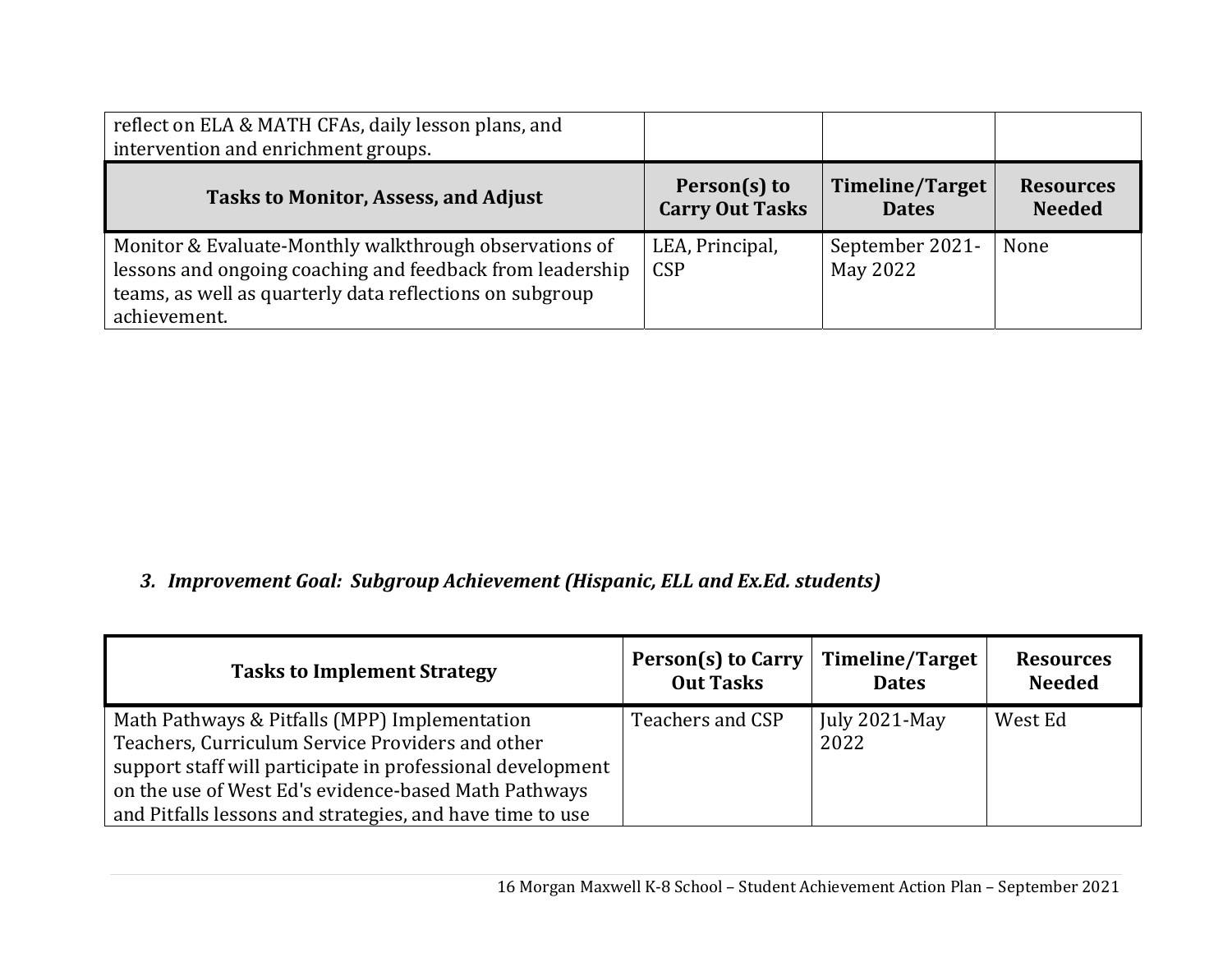| reflect on ELA & MATH CFAs, daily lesson plans, and<br>intervention and enrichment groups.                                                                                                      |                                        |                                        |                                   |
|-------------------------------------------------------------------------------------------------------------------------------------------------------------------------------------------------|----------------------------------------|----------------------------------------|-----------------------------------|
| <b>Tasks to Monitor, Assess, and Adjust</b>                                                                                                                                                     | Person(s) to<br><b>Carry Out Tasks</b> | <b>Timeline/Target</b><br><b>Dates</b> | <b>Resources</b><br><b>Needed</b> |
| Monitor & Evaluate-Monthly walkthrough observations of<br>lessons and ongoing coaching and feedback from leadership<br>teams, as well as quarterly data reflections on subgroup<br>achievement. | LEA, Principal,<br><b>CSP</b>          | September 2021-<br>May 2022            | None                              |

# *3. Improvement Goal: Subgroup Achievement (Hispanic, ELL and Ex.Ed. students)*

| <b>Tasks to Implement Strategy</b>                                                                                                                                                                                                                                                   | Person(s) to Carry   Timeline/Target<br><b>Out Tasks</b> | <b>Dates</b>             | <b>Resources</b><br><b>Needed</b> |
|--------------------------------------------------------------------------------------------------------------------------------------------------------------------------------------------------------------------------------------------------------------------------------------|----------------------------------------------------------|--------------------------|-----------------------------------|
| Math Pathways & Pitfalls (MPP) Implementation<br>Teachers, Curriculum Service Providers and other<br>support staff will participate in professional development<br>on the use of West Ed's evidence-based Math Pathways<br>and Pitfalls lessons and strategies, and have time to use | Teachers and CSP                                         | July $2021$ -May<br>2022 | West Ed                           |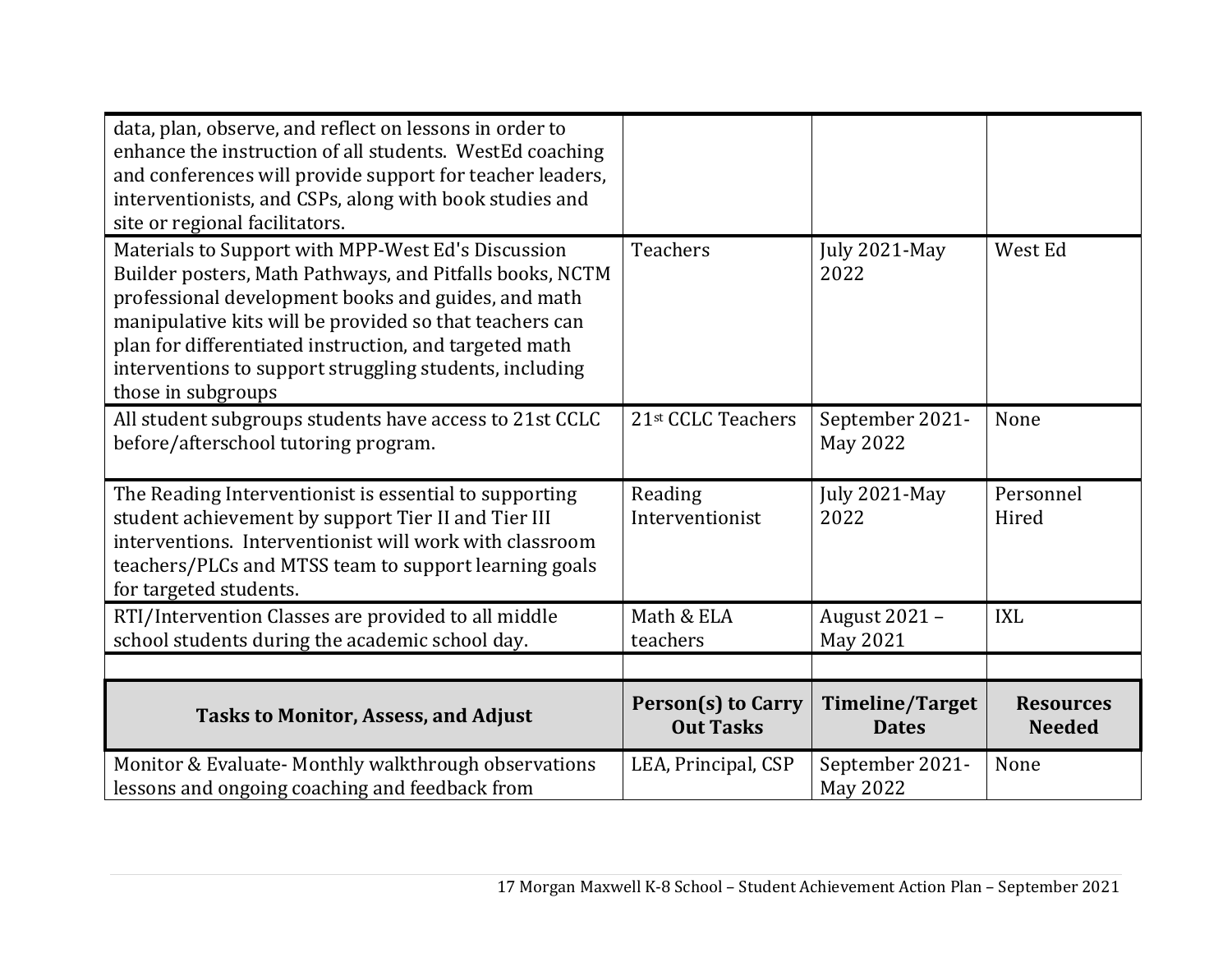| data, plan, observe, and reflect on lessons in order to<br>enhance the instruction of all students. WestEd coaching<br>and conferences will provide support for teacher leaders,<br>interventionists, and CSPs, along with book studies and<br>site or regional facilitators.                                                                                               |                                               |                                        |                                   |
|-----------------------------------------------------------------------------------------------------------------------------------------------------------------------------------------------------------------------------------------------------------------------------------------------------------------------------------------------------------------------------|-----------------------------------------------|----------------------------------------|-----------------------------------|
| Materials to Support with MPP-West Ed's Discussion<br>Builder posters, Math Pathways, and Pitfalls books, NCTM<br>professional development books and guides, and math<br>manipulative kits will be provided so that teachers can<br>plan for differentiated instruction, and targeted math<br>interventions to support struggling students, including<br>those in subgroups | <b>Teachers</b>                               | July 2021-May<br>2022                  | West Ed                           |
| All student subgroups students have access to 21st CCLC<br>before/afterschool tutoring program.                                                                                                                                                                                                                                                                             | 21st CCLC Teachers                            | September 2021-<br>May 2022            | None                              |
| The Reading Interventionist is essential to supporting<br>student achievement by support Tier II and Tier III<br>interventions. Interventionist will work with classroom<br>teachers/PLCs and MTSS team to support learning goals<br>for targeted students.                                                                                                                 | Reading<br>Interventionist                    | July 2021-May<br>2022                  | Personnel<br>Hired                |
| RTI/Intervention Classes are provided to all middle<br>school students during the academic school day.                                                                                                                                                                                                                                                                      | Math & ELA<br>teachers                        | August 2021 -<br>May 2021              | <b>IXL</b>                        |
|                                                                                                                                                                                                                                                                                                                                                                             |                                               |                                        |                                   |
| <b>Tasks to Monitor, Assess, and Adjust</b>                                                                                                                                                                                                                                                                                                                                 | <b>Person(s) to Carry</b><br><b>Out Tasks</b> | <b>Timeline/Target</b><br><b>Dates</b> | <b>Resources</b><br><b>Needed</b> |
| Monitor & Evaluate- Monthly walkthrough observations<br>lessons and ongoing coaching and feedback from                                                                                                                                                                                                                                                                      | LEA, Principal, CSP                           | September 2021-<br>May 2022            | None                              |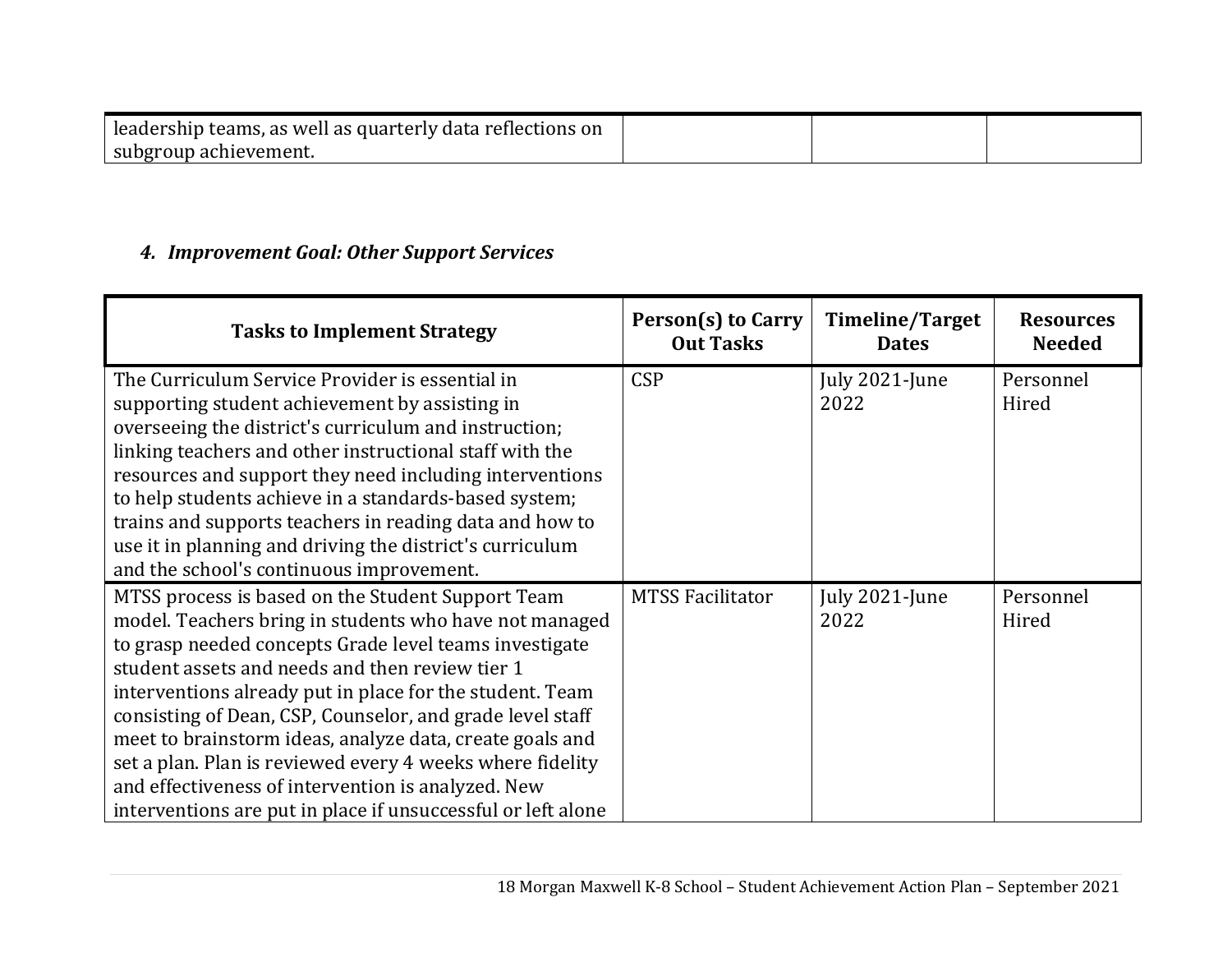| leadership teams, as well as quarterly data reflections on |  |  |
|------------------------------------------------------------|--|--|
| subgroup achievement.                                      |  |  |

### *4. Improvement Goal: Other Support Services*

| <b>Tasks to Implement Strategy</b>                                                                                                                                                                                                                                                                                                                                                                                                                                                                                                                                                               | Person(s) to Carry<br><b>Out Tasks</b> | Timeline/Target<br><b>Dates</b> | <b>Resources</b><br><b>Needed</b> |
|--------------------------------------------------------------------------------------------------------------------------------------------------------------------------------------------------------------------------------------------------------------------------------------------------------------------------------------------------------------------------------------------------------------------------------------------------------------------------------------------------------------------------------------------------------------------------------------------------|----------------------------------------|---------------------------------|-----------------------------------|
| The Curriculum Service Provider is essential in<br>supporting student achievement by assisting in<br>overseeing the district's curriculum and instruction;<br>linking teachers and other instructional staff with the<br>resources and support they need including interventions<br>to help students achieve in a standards-based system;<br>trains and supports teachers in reading data and how to<br>use it in planning and driving the district's curriculum<br>and the school's continuous improvement.                                                                                     | <b>CSP</b>                             | July 2021-June<br>2022          | Personnel<br>Hired                |
| MTSS process is based on the Student Support Team<br>model. Teachers bring in students who have not managed<br>to grasp needed concepts Grade level teams investigate<br>student assets and needs and then review tier 1<br>interventions already put in place for the student. Team<br>consisting of Dean, CSP, Counselor, and grade level staff<br>meet to brainstorm ideas, analyze data, create goals and<br>set a plan. Plan is reviewed every 4 weeks where fidelity<br>and effectiveness of intervention is analyzed. New<br>interventions are put in place if unsuccessful or left alone | <b>MTSS Facilitator</b>                | July 2021-June<br>2022          | Personnel<br>Hired                |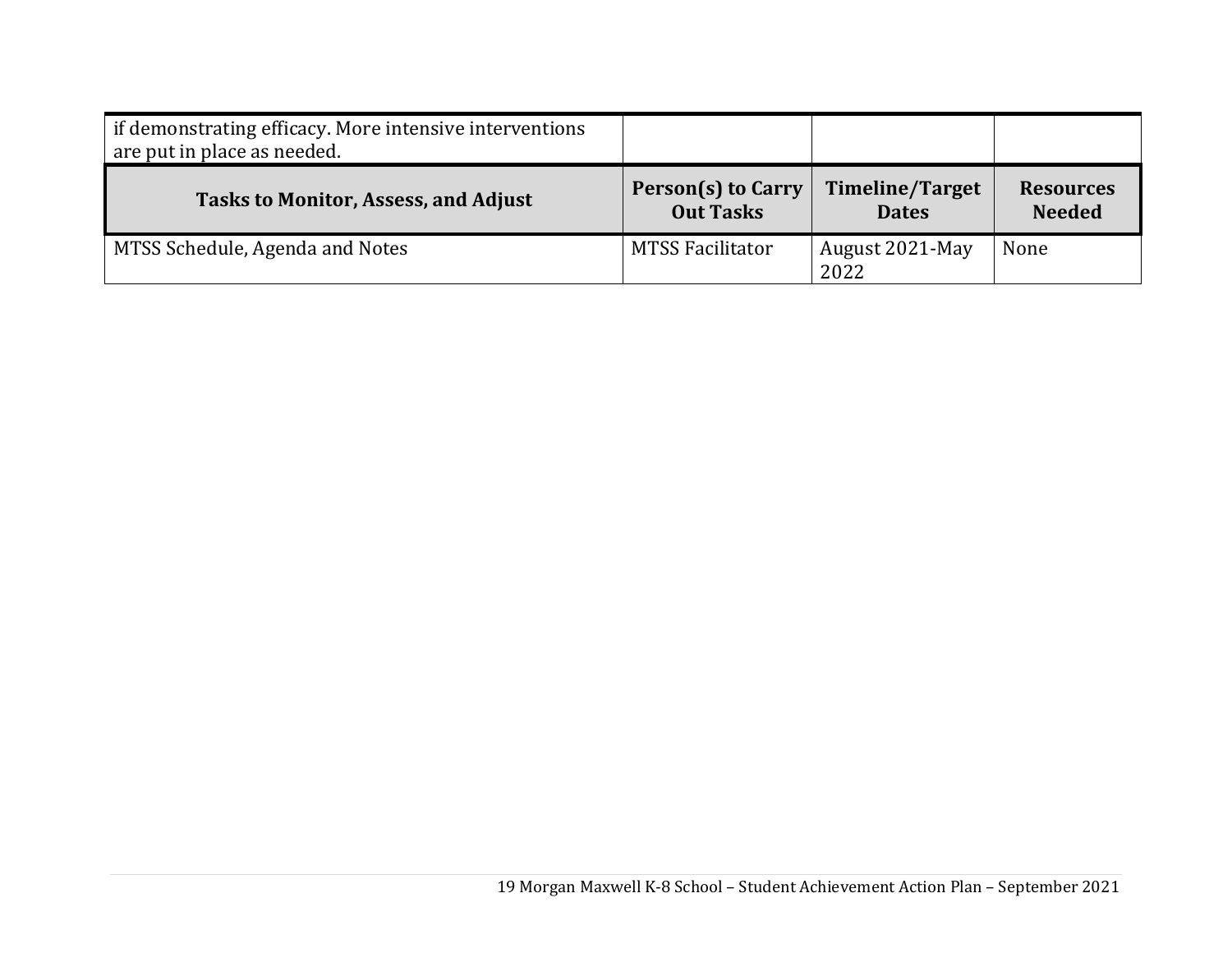| if demonstrating efficacy. More intensive interventions<br>are put in place as needed. |                                               |                                 |                                   |
|----------------------------------------------------------------------------------------|-----------------------------------------------|---------------------------------|-----------------------------------|
| <b>Tasks to Monitor, Assess, and Adjust</b>                                            | <b>Person(s) to Carry</b><br><b>Out Tasks</b> | Timeline/Target<br><b>Dates</b> | <b>Resources</b><br><b>Needed</b> |
| MTSS Schedule, Agenda and Notes                                                        | <b>MTSS Facilitator</b>                       | August 2021-May<br>2022         | None                              |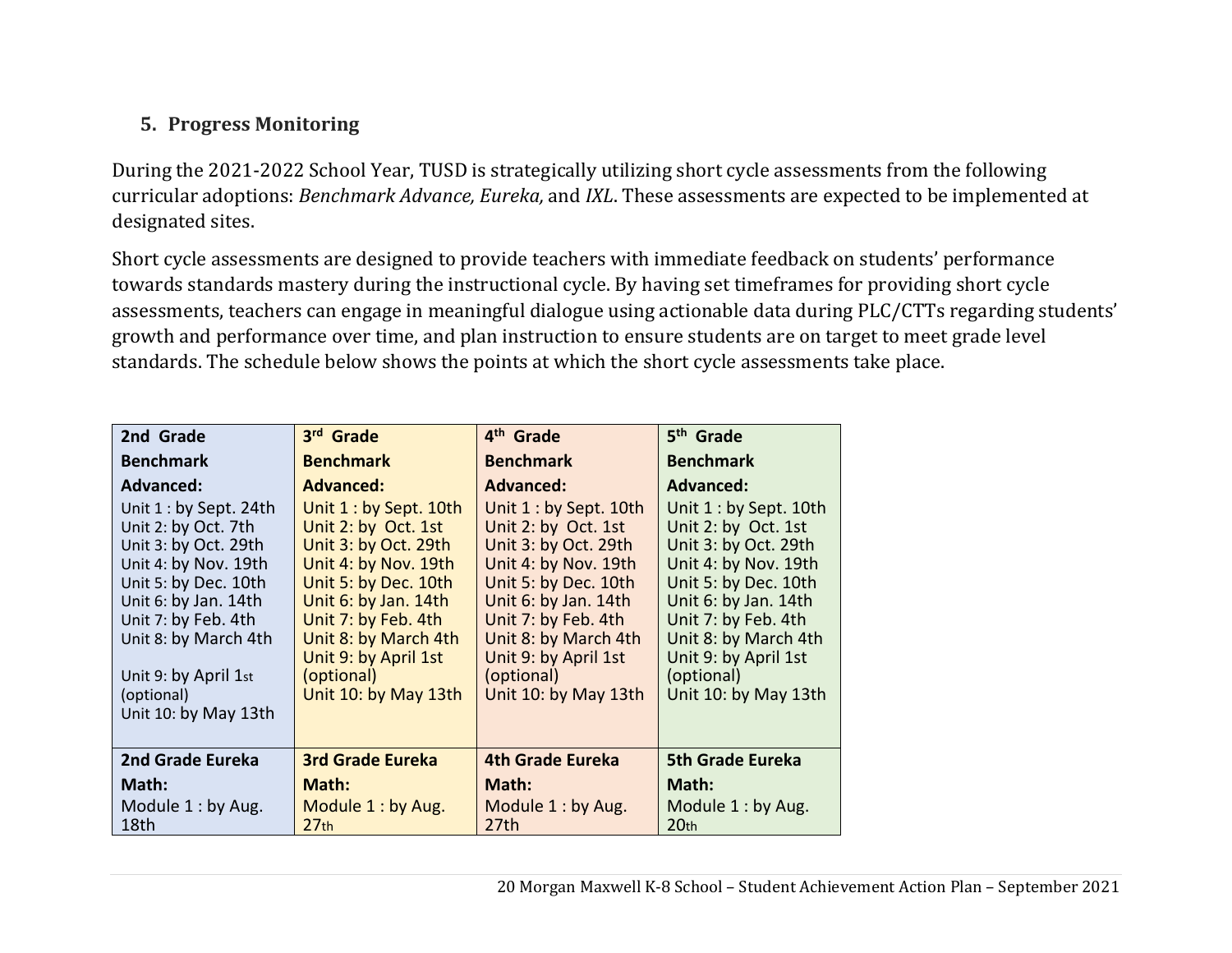# **5. Progress Monitoring**

During the 2021-2022 School Year, TUSD is strategically utilizing short cycle assessments from the following curricular adoptions: *Benchmark Advance, Eureka,* and *IXL*. These assessments are expected to be implemented at designated sites.

Short cycle assessments are designed to provide teachers with immediate feedback on students' performance towards standards mastery during the instructional cycle. By having set timeframes for providing short cycle assessments, teachers can engage in meaningful dialogue using actionable data during PLC/CTTs regarding students' growth and performance over time, and plan instruction to ensure students are on target to meet grade level standards. The schedule below shows the points at which the short cycle assessments take place.

| 2nd Grade                                    | 3rd Grade                                    | 4 <sup>th</sup> Grade                        | 5 <sup>th</sup> Grade                        |
|----------------------------------------------|----------------------------------------------|----------------------------------------------|----------------------------------------------|
| <b>Benchmark</b>                             | <b>Benchmark</b>                             | <b>Benchmark</b>                             | <b>Benchmark</b>                             |
| <b>Advanced:</b>                             | <b>Advanced:</b>                             | <b>Advanced:</b>                             | <b>Advanced:</b>                             |
| Unit $1:$ by Sept. 24th                      | Unit 1: by Sept. 10th                        | Unit $1:$ by Sept. 10th                      | Unit 1 : by Sept. 10th                       |
| Unit 2: by Oct. 7th                          | Unit 2: by Oct. 1st                          | Unit 2: by Oct. 1st                          | Unit 2: by Oct. 1st                          |
| Unit 3: by Oct. 29th<br>Unit 4: by Nov. 19th | Unit 3: by Oct. 29th<br>Unit 4: by Nov. 19th | Unit 3: by Oct. 29th<br>Unit 4: by Nov. 19th | Unit 3: by Oct. 29th<br>Unit 4: by Nov. 19th |
| Unit 5: by Dec. 10th                         | Unit 5: by Dec. 10th                         | Unit 5: by Dec. 10th                         | Unit 5: by Dec. 10th                         |
| Unit 6: by Jan. 14th                         | Unit 6: by Jan. 14th                         | Unit 6: by Jan. 14th                         | Unit 6: by Jan. 14th                         |
| Unit 7: by Feb. 4th                          | Unit 7: by Feb. 4th                          | Unit 7: by Feb. 4th                          | Unit 7: by Feb. 4th                          |
| Unit 8: by March 4th                         | Unit 8: by March 4th                         | Unit 8: by March 4th                         | Unit 8: by March 4th                         |
|                                              | Unit 9: by April 1st                         | Unit 9: by April 1st                         | Unit 9: by April 1st                         |
| Unit 9: by April 1st                         | (optional)                                   | (optional)                                   | (optional)                                   |
| (optional)<br>Unit 10: by May 13th           | Unit 10: by May 13th                         | Unit 10: by May 13th                         | Unit 10: by May 13th                         |
|                                              |                                              |                                              |                                              |
| 2nd Grade Eureka                             | <b>3rd Grade Eureka</b>                      | <b>4th Grade Eureka</b>                      | <b>5th Grade Eureka</b>                      |
| Math:                                        | Math:                                        | Math:                                        | Math:                                        |
| Module 1: by Aug.                            | Module 1: by Aug.                            | Module 1: by Aug.                            | Module 1: by Aug.                            |
| 18th                                         | 27 <sub>th</sub>                             | 27th                                         | 20 <sub>th</sub>                             |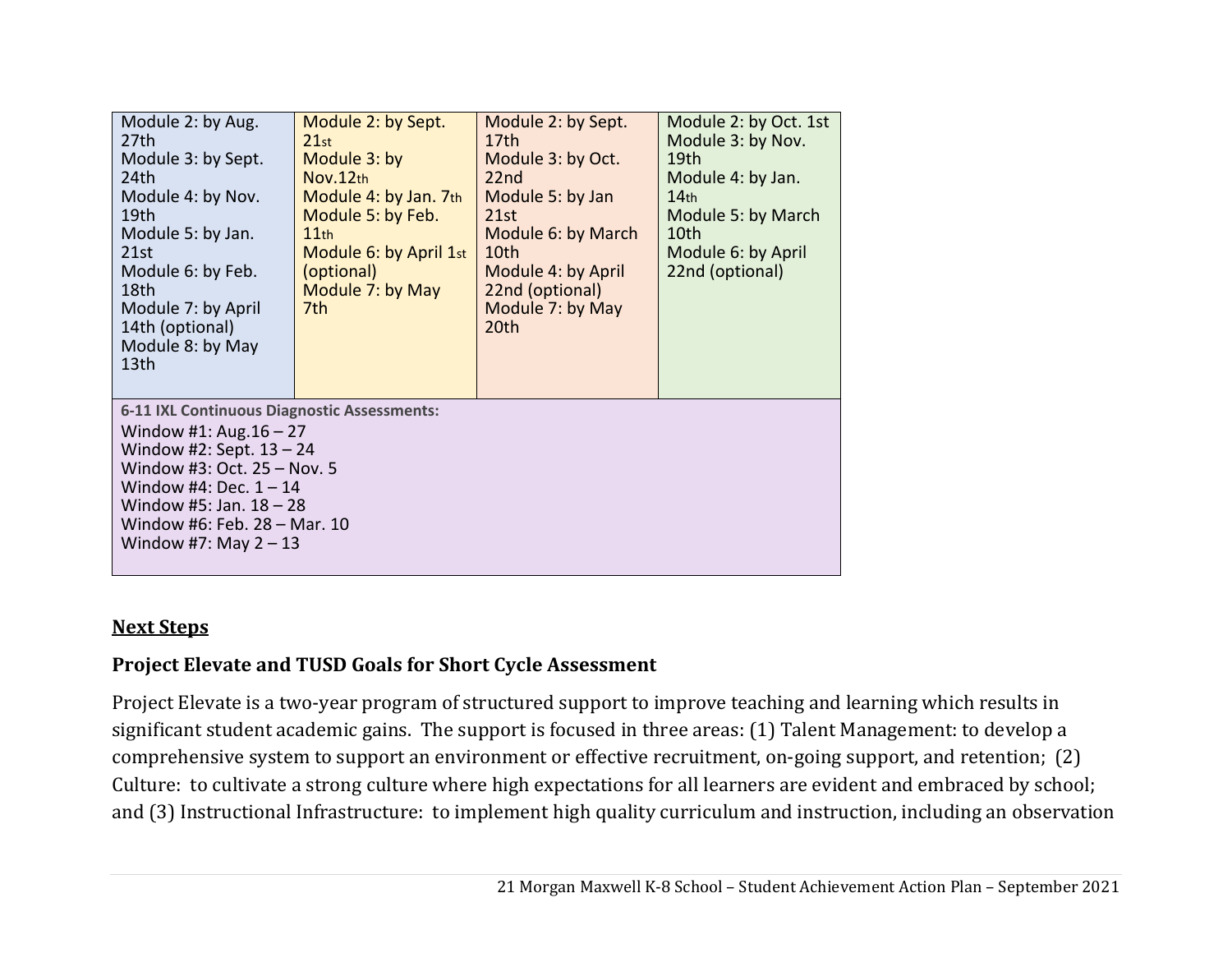| Module 2: by Aug.<br>27th<br>Module 3: by Sept.<br>24th<br>Module 4: by Nov.<br>19th<br>Module 5: by Jan.<br>21st<br>Module 6: by Feb.<br>18th<br>Module 7: by April<br>14th (optional)<br>Module 8: by May<br>13 <sub>th</sub>                           | Module 2: by Sept.<br>21st<br>Module 3: by<br>Nov.12th<br>Module 4: by Jan. 7th<br>Module 5: by Feb.<br>11th<br>Module 6: by April 1st<br>(optional)<br>Module 7: by May<br>7th | Module 2: by Sept.<br>17th<br>Module 3: by Oct.<br>22nd<br>Module 5: by Jan<br>21st<br>Module 6: by March<br>10th<br>Module 4: by April<br>22nd (optional)<br>Module 7: by May<br>20th | Module 2: by Oct. 1st<br>Module 3: by Nov.<br>19 <sub>th</sub><br>Module 4: by Jan.<br>14 <sub>th</sub><br>Module 5: by March<br>10th<br>Module 6: by April<br>22nd (optional) |
|-----------------------------------------------------------------------------------------------------------------------------------------------------------------------------------------------------------------------------------------------------------|---------------------------------------------------------------------------------------------------------------------------------------------------------------------------------|----------------------------------------------------------------------------------------------------------------------------------------------------------------------------------------|--------------------------------------------------------------------------------------------------------------------------------------------------------------------------------|
| 6-11 IXL Continuous Diagnostic Assessments:<br>Window #1: Aug. $16 - 27$<br>Window #2: Sept. $13 - 24$<br>Window #3: Oct. 25 - Nov. 5<br>Window #4: Dec. $1 - 14$<br>Window #5: Jan. $18 - 28$<br>Window #6: Feb. 28 - Mar. 10<br>Window #7: May $2 - 13$ |                                                                                                                                                                                 |                                                                                                                                                                                        |                                                                                                                                                                                |

#### **Next Steps**

### **Project Elevate and TUSD Goals for Short Cycle Assessment**

Project Elevate is a two-year program of structured support to improve teaching and learning which results in significant student academic gains. The support is focused in three areas: (1) Talent Management: to develop a comprehensive system to support an environment or effective recruitment, on-going support, and retention; (2) Culture: to cultivate a strong culture where high expectations for all learners are evident and embraced by school; and (3) Instructional Infrastructure: to implement high quality curriculum and instruction, including an observation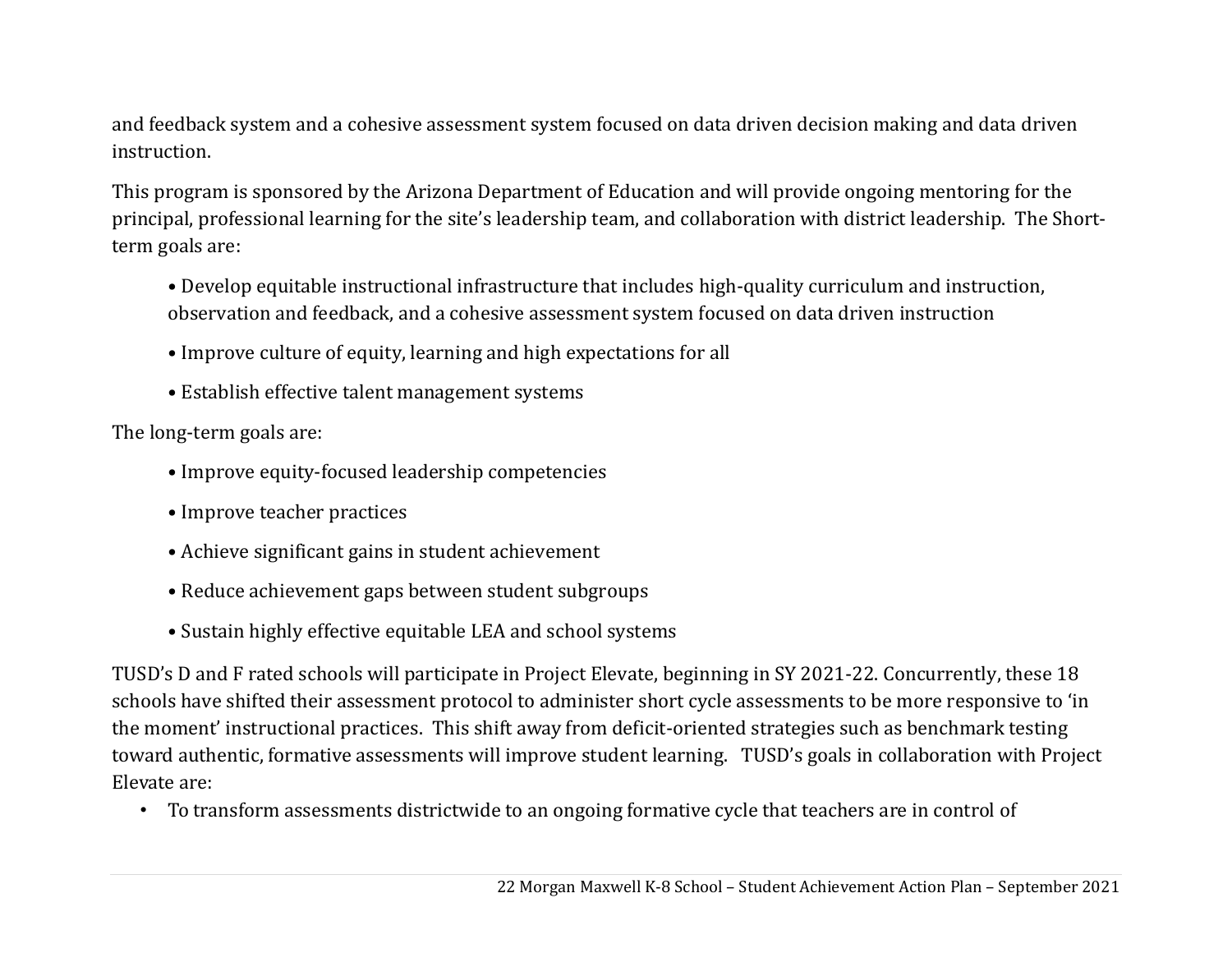and feedback system and a cohesive assessment system focused on data driven decision making and data driven instruction.

This program is sponsored by the Arizona Department of Education and will provide ongoing mentoring for the principal, professional learning for the site's leadership team, and collaboration with district leadership. The Shortterm goals are:

- Develop equitable instructional infrastructure that includes high-quality curriculum and instruction, observation and feedback, and a cohesive assessment system focused on data driven instruction
- Improve culture of equity, learning and high expectations for all
- Establish effective talent management systems

The long-term goals are:

- Improve equity-focused leadership competencies
- Improve teacher practices
- Achieve significant gains in student achievement
- Reduce achievement gaps between student subgroups
- Sustain highly effective equitable LEA and school systems

TUSD's D and F rated schools will participate in Project Elevate, beginning in SY 2021-22. Concurrently, these 18 schools have shifted their assessment protocol to administer short cycle assessments to be more responsive to 'in the moment' instructional practices. This shift away from deficit-oriented strategies such as benchmark testing toward authentic, formative assessments will improve student learning. TUSD's goals in collaboration with Project Elevate are:

• To transform assessments districtwide to an ongoing formative cycle that teachers are in control of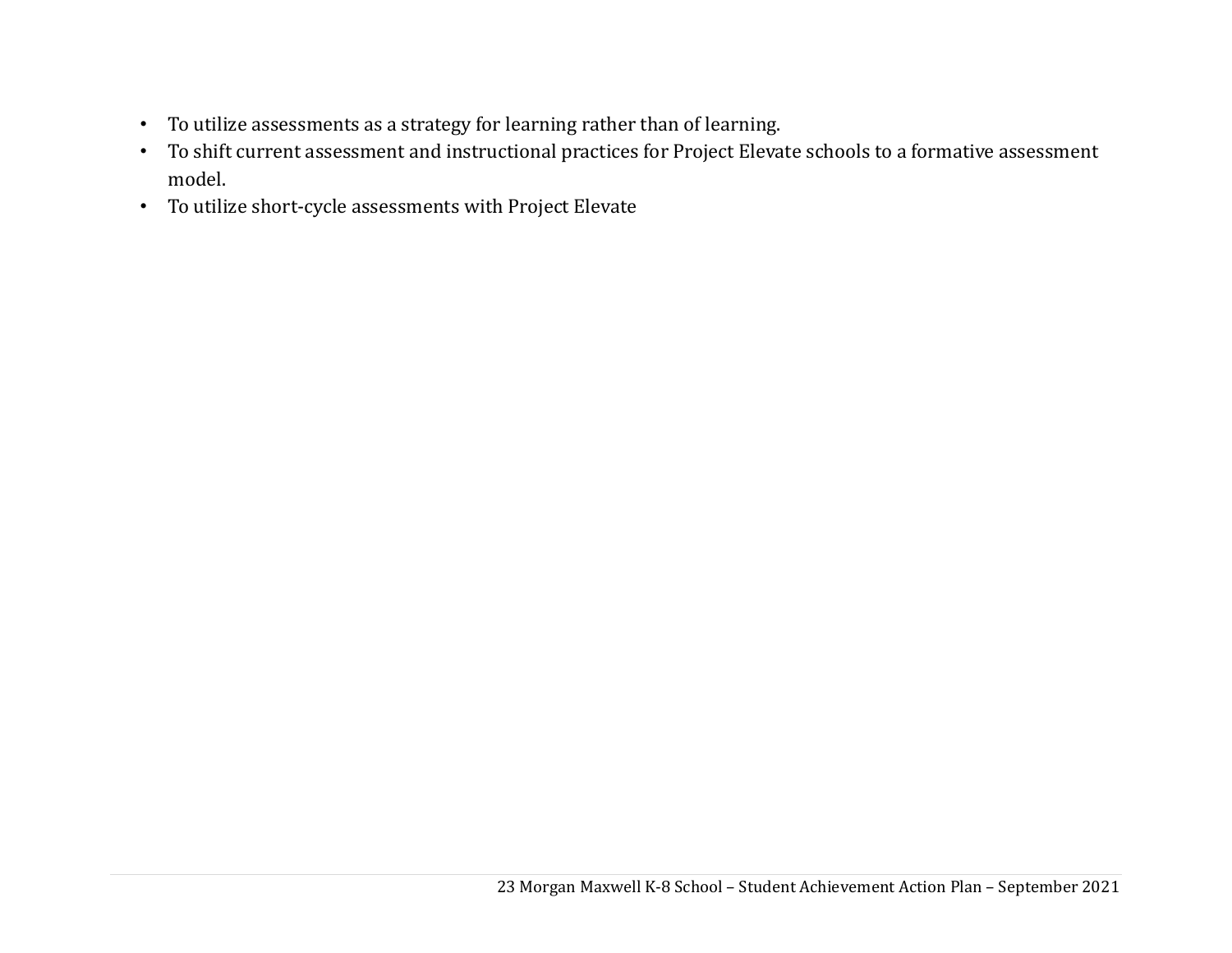- To utilize assessments as a strategy for learning rather than of learning.
- To shift current assessment and instructional practices for Project Elevate schools to a formative assessment model.
- To utilize short-cycle assessments with Project Elevate